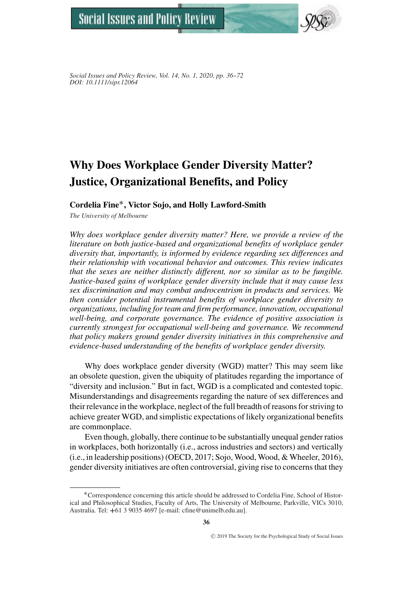

*Social Issues and Policy Review, Vol. 14, No. 1, 2020, pp. 36--72 DOI: 10.1111/sipr.12064*

# **Why Does Workplace Gender Diversity Matter? Justice, Organizational Benefits, and Policy**

# **Cordelia Fine**∗**, Victor Sojo, and Holly Lawford-Smith**

*The University of Melbourne*

*Why does workplace gender diversity matter? Here, we provide a review of the literature on both justice-based and organizational benefits of workplace gender diversity that, importantly, is informed by evidence regarding sex differences and their relationship with vocational behavior and outcomes. This review indicates that the sexes are neither distinctly different, nor so similar as to be fungible. Justice-based gains of workplace gender diversity include that it may cause less sex discrimination and may combat androcentrism in products and services. We then consider potential instrumental benefits of workplace gender diversity to organizations, including for team and firm performance, innovation, occupational well-being, and corporate governance. The evidence of positive association is currently strongest for occupational well-being and governance. We recommend that policy makers ground gender diversity initiatives in this comprehensive and evidence-based understanding of the benefits of workplace gender diversity.*

Why does workplace gender diversity (WGD) matter? This may seem like an obsolete question, given the ubiquity of platitudes regarding the importance of "diversity and inclusion." But in fact, WGD is a complicated and contested topic. Misunderstandings and disagreements regarding the nature of sex differences and their relevance in the workplace, neglect of the full breadth of reasons for striving to achieve greater WGD, and simplistic expectations of likely organizational benefits are commonplace.

Even though, globally, there continue to be substantially unequal gender ratios in workplaces, both horizontally (i.e., across industries and sectors) and vertically (i.e., in leadership positions) (OECD, 2017; Sojo, Wood, Wood, & Wheeler, 2016), gender diversity initiatives are often controversial, giving rise to concerns that they

<sup>∗</sup>Correspondence concerning this article should be addressed to Cordelia Fine, School of Historical and Philosophical Studies, Faculty of Arts, The University of Melbourne, Parkville, VICs 3010, Australia. Tel: **+**61 3 9035 4697 [e-mail: cfine@unimelb.edu.au].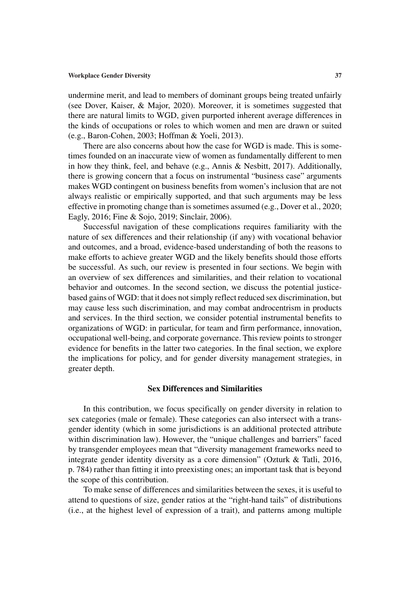undermine merit, and lead to members of dominant groups being treated unfairly (see Dover, Kaiser, & Major, 2020). Moreover, it is sometimes suggested that there are natural limits to WGD, given purported inherent average differences in the kinds of occupations or roles to which women and men are drawn or suited (e.g., Baron-Cohen, 2003; Hoffman & Yoeli, 2013).

There are also concerns about how the case for WGD is made. This is sometimes founded on an inaccurate view of women as fundamentally different to men in how they think, feel, and behave (e.g., Annis & Nesbitt, 2017). Additionally, there is growing concern that a focus on instrumental "business case" arguments makes WGD contingent on business benefits from women's inclusion that are not always realistic or empirically supported, and that such arguments may be less effective in promoting change than is sometimes assumed (e.g., Dover et al., 2020; Eagly, 2016; Fine & Sojo, 2019; Sinclair, 2006).

Successful navigation of these complications requires familiarity with the nature of sex differences and their relationship (if any) with vocational behavior and outcomes, and a broad, evidence-based understanding of both the reasons to make efforts to achieve greater WGD and the likely benefits should those efforts be successful. As such, our review is presented in four sections. We begin with an overview of sex differences and similarities, and their relation to vocational behavior and outcomes. In the second section, we discuss the potential justicebased gains of WGD: that it does not simply reflect reduced sex discrimination, but may cause less such discrimination, and may combat androcentrism in products and services. In the third section, we consider potential instrumental benefits to organizations of WGD: in particular, for team and firm performance, innovation, occupational well-being, and corporate governance. This review points to stronger evidence for benefits in the latter two categories. In the final section, we explore the implications for policy, and for gender diversity management strategies, in greater depth.

# **Sex Differences and Similarities**

In this contribution, we focus specifically on gender diversity in relation to sex categories (male or female). These categories can also intersect with a transgender identity (which in some jurisdictions is an additional protected attribute within discrimination law). However, the "unique challenges and barriers" faced by transgender employees mean that "diversity management frameworks need to integrate gender identity diversity as a core dimension" (Ozturk & Tatli, 2016, p. 784) rather than fitting it into preexisting ones; an important task that is beyond the scope of this contribution.

To make sense of differences and similarities between the sexes, it is useful to attend to questions of size, gender ratios at the "right-hand tails" of distributions (i.e., at the highest level of expression of a trait), and patterns among multiple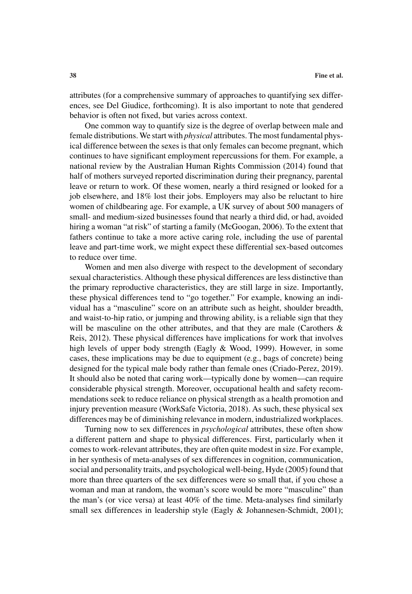attributes (for a comprehensive summary of approaches to quantifying sex differences, see Del Giudice, forthcoming). It is also important to note that gendered behavior is often not fixed, but varies across context.

One common way to quantify size is the degree of overlap between male and female distributions. We start with *physical* attributes. The most fundamental physical difference between the sexes is that only females can become pregnant, which continues to have significant employment repercussions for them. For example, a national review by the Australian Human Rights Commission (2014) found that half of mothers surveyed reported discrimination during their pregnancy, parental leave or return to work. Of these women, nearly a third resigned or looked for a job elsewhere, and 18% lost their jobs. Employers may also be reluctant to hire women of childbearing age. For example, a UK survey of about 500 managers of small- and medium-sized businesses found that nearly a third did, or had, avoided hiring a woman "at risk" of starting a family (McGoogan, 2006). To the extent that fathers continue to take a more active caring role, including the use of parental leave and part-time work, we might expect these differential sex-based outcomes to reduce over time.

Women and men also diverge with respect to the development of secondary sexual characteristics. Although these physical differences are less distinctive than the primary reproductive characteristics, they are still large in size. Importantly, these physical differences tend to "go together." For example, knowing an individual has a "masculine" score on an attribute such as height, shoulder breadth, and waist-to-hip ratio, or jumping and throwing ability, is a reliable sign that they will be masculine on the other attributes, and that they are male (Carothers & Reis, 2012). These physical differences have implications for work that involves high levels of upper body strength (Eagly & Wood, 1999). However, in some cases, these implications may be due to equipment (e.g., bags of concrete) being designed for the typical male body rather than female ones (Criado-Perez, 2019). It should also be noted that caring work—typically done by women—can require considerable physical strength. Moreover, occupational health and safety recommendations seek to reduce reliance on physical strength as a health promotion and injury prevention measure (WorkSafe Victoria, 2018). As such, these physical sex differences may be of diminishing relevance in modern, industrialized workplaces.

Turning now to sex differences in *psychological* attributes, these often show a different pattern and shape to physical differences. First, particularly when it comes to work-relevant attributes, they are often quite modest in size. For example, in her synthesis of meta-analyses of sex differences in cognition, communication, social and personality traits, and psychological well-being, Hyde (2005) found that more than three quarters of the sex differences were so small that, if you chose a woman and man at random, the woman's score would be more "masculine" than the man's (or vice versa) at least 40% of the time. Meta-analyses find similarly small sex differences in leadership style (Eagly & Johannesen-Schmidt, 2001);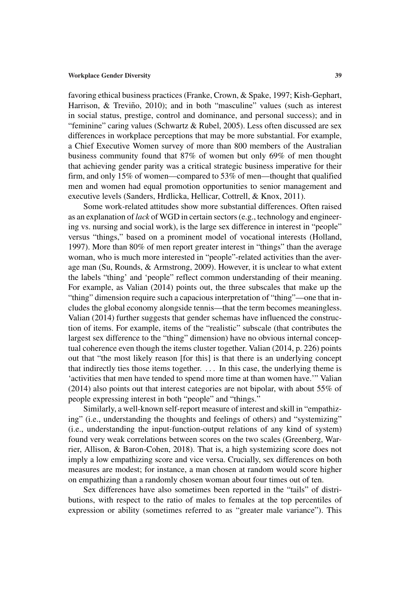favoring ethical business practices (Franke, Crown, & Spake, 1997; Kish-Gephart, Harrison,  $\&$  Treviño, 2010); and in both "masculine" values (such as interest in social status, prestige, control and dominance, and personal success); and in "feminine" caring values (Schwartz & Rubel, 2005). Less often discussed are sex differences in workplace perceptions that may be more substantial. For example, a Chief Executive Women survey of more than 800 members of the Australian business community found that 87% of women but only 69% of men thought that achieving gender parity was a critical strategic business imperative for their firm, and only 15% of women—compared to 53% of men—thought that qualified men and women had equal promotion opportunities to senior management and executive levels (Sanders, Hrdlicka, Hellicar, Cottrell, & Knox, 2011).

Some work-related attitudes show more substantial differences. Often raised as an explanation of *lack* of WGD in certain sectors (e.g., technology and engineering vs. nursing and social work), is the large sex difference in interest in "people" versus "things," based on a prominent model of vocational interests (Holland, 1997). More than 80% of men report greater interest in "things" than the average woman, who is much more interested in "people"-related activities than the average man (Su, Rounds, & Armstrong, 2009). However, it is unclear to what extent the labels "thing' and 'people" reflect common understanding of their meaning. For example, as Valian (2014) points out, the three subscales that make up the "thing" dimension require such a capacious interpretation of "thing"—one that includes the global economy alongside tennis—that the term becomes meaningless. Valian (2014) further suggests that gender schemas have influenced the construction of items. For example, items of the "realistic" subscale (that contributes the largest sex difference to the "thing" dimension) have no obvious internal conceptual coherence even though the items cluster together. Valian (2014, p. 226) points out that "the most likely reason [for this] is that there is an underlying concept that indirectly ties those items together. . . . In this case, the underlying theme is 'activities that men have tended to spend more time at than women have.'" Valian (2014) also points out that interest categories are not bipolar, with about 55% of people expressing interest in both "people" and "things."

Similarly, a well-known self-report measure of interest and skill in "empathizing" (i.e., understanding the thoughts and feelings of others) and "systemizing" (i.e., understanding the input-function-output relations of any kind of system) found very weak correlations between scores on the two scales (Greenberg, Warrier, Allison, & Baron-Cohen, 2018). That is, a high systemizing score does not imply a low empathizing score and vice versa. Crucially, sex differences on both measures are modest; for instance, a man chosen at random would score higher on empathizing than a randomly chosen woman about four times out of ten.

Sex differences have also sometimes been reported in the "tails" of distributions, with respect to the ratio of males to females at the top percentiles of expression or ability (sometimes referred to as "greater male variance"). This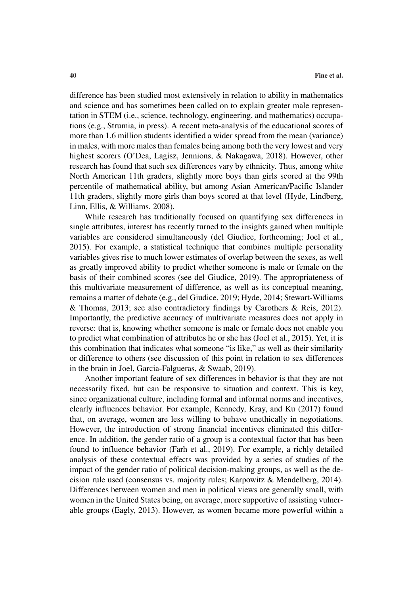difference has been studied most extensively in relation to ability in mathematics and science and has sometimes been called on to explain greater male representation in STEM (i.e., science, technology, engineering, and mathematics) occupations (e.g., Strumia, in press). A recent meta-analysis of the educational scores of more than 1.6 million students identified a wider spread from the mean (variance) in males, with more males than females being among both the very lowest and very highest scorers (O'Dea, Lagisz, Jennions, & Nakagawa, 2018). However, other research has found that such sex differences vary by ethnicity. Thus, among white North American 11th graders, slightly more boys than girls scored at the 99th percentile of mathematical ability, but among Asian American/Pacific Islander 11th graders, slightly more girls than boys scored at that level (Hyde, Lindberg, Linn, Ellis, & Williams, 2008).

While research has traditionally focused on quantifying sex differences in single attributes, interest has recently turned to the insights gained when multiple variables are considered simultaneously (del Giudice, forthcoming; Joel et al., 2015). For example, a statistical technique that combines multiple personality variables gives rise to much lower estimates of overlap between the sexes, as well as greatly improved ability to predict whether someone is male or female on the basis of their combined scores (see del Giudice, 2019). The appropriateness of this multivariate measurement of difference, as well as its conceptual meaning, remains a matter of debate (e.g., del Giudice, 2019; Hyde, 2014; Stewart-Williams & Thomas, 2013; see also contradictory findings by Carothers & Reis, 2012). Importantly, the predictive accuracy of multivariate measures does not apply in reverse: that is, knowing whether someone is male or female does not enable you to predict what combination of attributes he or she has (Joel et al., 2015). Yet, it is this combination that indicates what someone "is like," as well as their similarity or difference to others (see discussion of this point in relation to sex differences in the brain in Joel, Garcia-Falgueras, & Swaab, 2019).

Another important feature of sex differences in behavior is that they are not necessarily fixed, but can be responsive to situation and context. This is key, since organizational culture, including formal and informal norms and incentives, clearly influences behavior. For example, Kennedy, Kray, and Ku (2017) found that, on average, women are less willing to behave unethically in negotiations. However, the introduction of strong financial incentives eliminated this difference. In addition, the gender ratio of a group is a contextual factor that has been found to influence behavior (Farh et al., 2019). For example, a richly detailed analysis of these contextual effects was provided by a series of studies of the impact of the gender ratio of political decision-making groups, as well as the decision rule used (consensus vs. majority rules; Karpowitz & Mendelberg, 2014). Differences between women and men in political views are generally small, with women in the United States being, on average, more supportive of assisting vulnerable groups (Eagly, 2013). However, as women became more powerful within a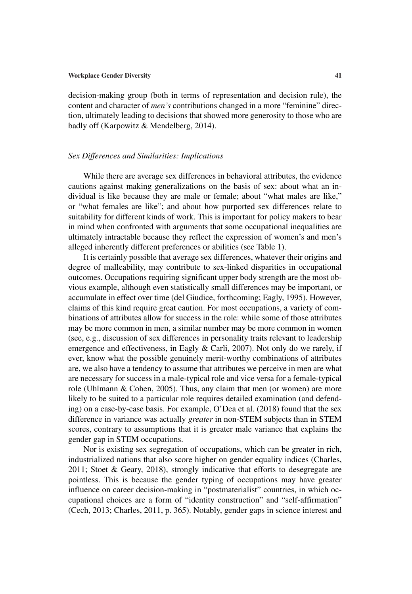decision-making group (both in terms of representation and decision rule), the content and character of *men's* contributions changed in a more "feminine" direction, ultimately leading to decisions that showed more generosity to those who are badly off (Karpowitz & Mendelberg, 2014).

### *Sex Differences and Similarities: Implications*

While there are average sex differences in behavioral attributes, the evidence cautions against making generalizations on the basis of sex: about what an individual is like because they are male or female; about "what males are like," or "what females are like"; and about how purported sex differences relate to suitability for different kinds of work. This is important for policy makers to bear in mind when confronted with arguments that some occupational inequalities are ultimately intractable because they reflect the expression of women's and men's alleged inherently different preferences or abilities (see Table 1).

It is certainly possible that average sex differences, whatever their origins and degree of malleability, may contribute to sex-linked disparities in occupational outcomes. Occupations requiring significant upper body strength are the most obvious example, although even statistically small differences may be important, or accumulate in effect over time (del Giudice, forthcoming; Eagly, 1995). However, claims of this kind require great caution. For most occupations, a variety of combinations of attributes allow for success in the role: while some of those attributes may be more common in men, a similar number may be more common in women (see, e.g., discussion of sex differences in personality traits relevant to leadership emergence and effectiveness, in Eagly & Carli, 2007). Not only do we rarely, if ever, know what the possible genuinely merit-worthy combinations of attributes are, we also have a tendency to assume that attributes we perceive in men are what are necessary for success in a male-typical role and vice versa for a female-typical role (Uhlmann & Cohen, 2005). Thus, any claim that men (or women) are more likely to be suited to a particular role requires detailed examination (and defending) on a case-by-case basis. For example, O'Dea et al. (2018) found that the sex difference in variance was actually *greater* in non-STEM subjects than in STEM scores, contrary to assumptions that it is greater male variance that explains the gender gap in STEM occupations.

Nor is existing sex segregation of occupations, which can be greater in rich, industrialized nations that also score higher on gender equality indices (Charles, 2011; Stoet & Geary, 2018), strongly indicative that efforts to desegregate are pointless. This is because the gender typing of occupations may have greater influence on career decision-making in "postmaterialist" countries, in which occupational choices are a form of "identity construction" and "self-affirmation" (Cech, 2013; Charles, 2011, p. 365). Notably, gender gaps in science interest and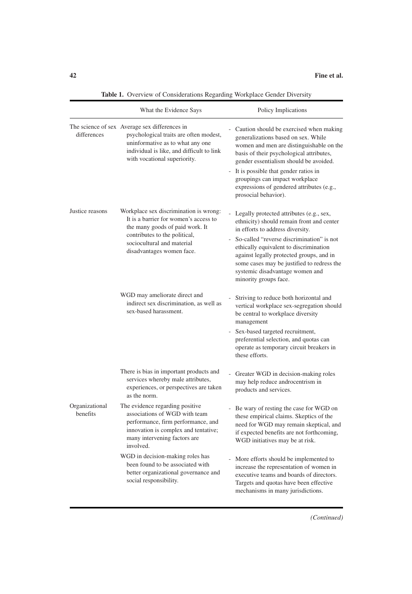|                            | What the Evidence Says                                                                                                                                                                                         | Policy Implications                                                                                                                                                                                                                                                                                                                                                      |
|----------------------------|----------------------------------------------------------------------------------------------------------------------------------------------------------------------------------------------------------------|--------------------------------------------------------------------------------------------------------------------------------------------------------------------------------------------------------------------------------------------------------------------------------------------------------------------------------------------------------------------------|
| differences                | The science of sex Average sex differences in<br>psychological traits are often modest,<br>uninformative as to what any one<br>individual is like, and difficult to link<br>with vocational superiority.       | Caution should be exercised when making<br>generalizations based on sex. While<br>women and men are distinguishable on the<br>basis of their psychological attributes,<br>gender essentialism should be avoided.<br>- It is possible that gender ratios in<br>groupings can impact workplace<br>expressions of gendered attributes (e.g.,<br>prosocial behavior).        |
| Justice reasons            | Workplace sex discrimination is wrong:<br>It is a barrier for women's access to<br>the many goods of paid work. It<br>contributes to the political,<br>sociocultural and material<br>disadvantages women face. | Legally protected attributes (e.g., sex,<br>ethnicity) should remain front and center<br>in efforts to address diversity.<br>- So-called "reverse discrimination" is not<br>ethically equivalent to discrimination<br>against legally protected groups, and in<br>some cases may be justified to redress the<br>systemic disadvantage women and<br>minority groups face. |
|                            | WGD may ameliorate direct and<br>indirect sex discrimination, as well as<br>sex-based harassment.                                                                                                              | Striving to reduce both horizontal and<br>vertical workplace sex-segregation should<br>be central to workplace diversity<br>management<br>Sex-based targeted recruitment,<br>$\mathcal{L}_{\mathcal{A}}$<br>preferential selection, and quotas can<br>operate as temporary circuit breakers in<br>these efforts.                                                         |
|                            | There is bias in important products and<br>services whereby male attributes,<br>experiences, or perspectives are taken<br>as the norm.                                                                         | Greater WGD in decision-making roles<br>may help reduce androcentrism in<br>products and services.                                                                                                                                                                                                                                                                       |
| Organizational<br>benefits | The evidence regarding positive<br>associations of WGD with team<br>performance, firm performance, and<br>innovation is complex and tentative;<br>many intervening factors are<br>involved.                    | - Be wary of resting the case for WGD on<br>these empirical claims. Skeptics of the<br>need for WGD may remain skeptical, and<br>if expected benefits are not forthcoming,<br>WGD initiatives may be at risk.                                                                                                                                                            |
|                            | WGD in decision-making roles has<br>been found to be associated with<br>better organizational governance and<br>social responsibility.                                                                         | - More efforts should be implemented to<br>increase the representation of women in<br>executive teams and boards of directors.<br>Targets and quotas have been effective<br>mechanisms in many jurisdictions.                                                                                                                                                            |

Table 1. Overview of Considerations Regarding Workplace Gender Diversity

*(Continued)*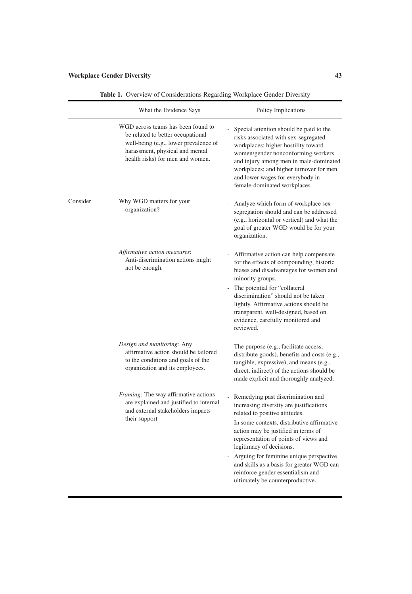|          | What the Evidence Says                                                                                                                                                                  | Policy Implications                                                                                                                                                                                                                                                                                                                                                                                                                           |
|----------|-----------------------------------------------------------------------------------------------------------------------------------------------------------------------------------------|-----------------------------------------------------------------------------------------------------------------------------------------------------------------------------------------------------------------------------------------------------------------------------------------------------------------------------------------------------------------------------------------------------------------------------------------------|
|          | WGD across teams has been found to<br>be related to better occupational<br>well-being (e.g., lower prevalence of<br>harassment, physical and mental<br>health risks) for men and women. | Special attention should be paid to the<br>risks associated with sex-segregated<br>workplaces: higher hostility toward<br>women/gender nonconforming workers<br>and injury among men in male-dominated<br>workplaces; and higher turnover for men<br>and lower wages for everybody in<br>female-dominated workplaces.                                                                                                                         |
| Consider | Why WGD matters for your<br>organization?                                                                                                                                               | Analyze which form of workplace sex<br>segregation should and can be addressed<br>(e.g., horizontal or vertical) and what the<br>goal of greater WGD would be for your<br>organization.                                                                                                                                                                                                                                                       |
|          | Affirmative action measures:<br>Anti-discrimination actions might<br>not be enough.                                                                                                     | Affirmative action can help compensate<br>for the effects of compounding, historic<br>biases and disadvantages for women and<br>minority groups.<br>The potential for "collateral"<br>discrimination" should not be taken<br>lightly. Affirmative actions should be<br>transparent, well-designed, based on<br>evidence, carefully monitored and<br>reviewed.                                                                                 |
|          | Design and monitoring: Any<br>affirmative action should be tailored<br>to the conditions and goals of the<br>organization and its employees.                                            | The purpose (e.g., facilitate access,<br>distribute goods), benefits and costs (e.g.,<br>tangible, expressive), and means (e.g.,<br>direct, indirect) of the actions should be<br>made explicit and thoroughly analyzed.                                                                                                                                                                                                                      |
|          | Framing: The way affirmative actions<br>are explained and justified to internal<br>and external stakeholders impacts<br>their support                                                   | - Remedying past discrimination and<br>increasing diversity are justifications<br>related to positive attitudes.<br>In some contexts, distributive affirmative<br>action may be justified in terms of<br>representation of points of views and<br>legitimacy of decisions.<br>- Arguing for feminine unique perspective<br>and skills as a basis for greater WGD can<br>reinforce gender essentialism and<br>ultimately be counterproductive. |

Table 1. Overview of Considerations Regarding Workplace Gender Diversity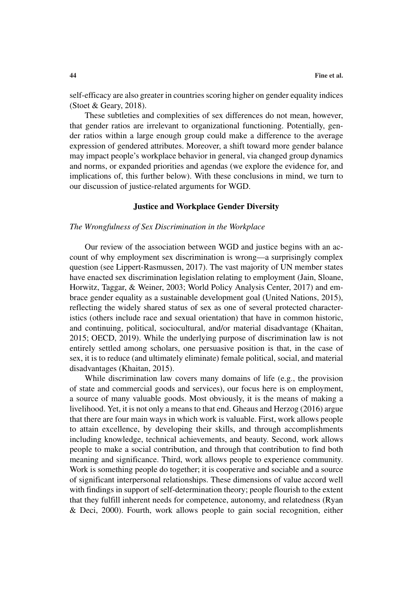self-efficacy are also greater in countries scoring higher on gender equality indices (Stoet & Geary, 2018).

These subtleties and complexities of sex differences do not mean, however, that gender ratios are irrelevant to organizational functioning. Potentially, gender ratios within a large enough group could make a difference to the average expression of gendered attributes. Moreover, a shift toward more gender balance may impact people's workplace behavior in general, via changed group dynamics and norms, or expanded priorities and agendas (we explore the evidence for, and implications of, this further below). With these conclusions in mind, we turn to our discussion of justice-related arguments for WGD.

# **Justice and Workplace Gender Diversity**

# *The Wrongfulness of Sex Discrimination in the Workplace*

Our review of the association between WGD and justice begins with an account of why employment sex discrimination is wrong—a surprisingly complex question (see Lippert-Rasmussen, 2017). The vast majority of UN member states have enacted sex discrimination legislation relating to employment (Jain, Sloane, Horwitz, Taggar, & Weiner, 2003; World Policy Analysis Center, 2017) and embrace gender equality as a sustainable development goal (United Nations, 2015), reflecting the widely shared status of sex as one of several protected characteristics (others include race and sexual orientation) that have in common historic, and continuing, political, sociocultural, and/or material disadvantage (Khaitan, 2015; OECD, 2019). While the underlying purpose of discrimination law is not entirely settled among scholars, one persuasive position is that, in the case of sex, it is to reduce (and ultimately eliminate) female political, social, and material disadvantages (Khaitan, 2015).

While discrimination law covers many domains of life (e.g., the provision of state and commercial goods and services), our focus here is on employment, a source of many valuable goods. Most obviously, it is the means of making a livelihood. Yet, it is not only a means to that end. Gheaus and Herzog (2016) argue that there are four main ways in which work is valuable. First, work allows people to attain excellence, by developing their skills, and through accomplishments including knowledge, technical achievements, and beauty. Second, work allows people to make a social contribution, and through that contribution to find both meaning and significance. Third, work allows people to experience community. Work is something people do together; it is cooperative and sociable and a source of significant interpersonal relationships. These dimensions of value accord well with findings in support of self-determination theory; people flourish to the extent that they fulfill inherent needs for competence, autonomy, and relatedness (Ryan & Deci, 2000). Fourth, work allows people to gain social recognition, either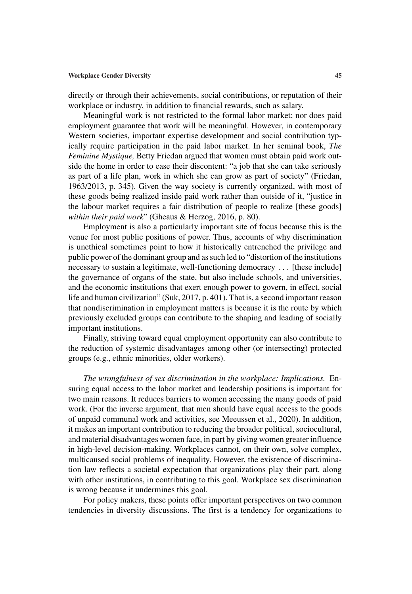directly or through their achievements, social contributions, or reputation of their workplace or industry, in addition to financial rewards, such as salary.

Meaningful work is not restricted to the formal labor market; nor does paid employment guarantee that work will be meaningful. However, in contemporary Western societies, important expertise development and social contribution typically require participation in the paid labor market. In her seminal book, *The Feminine Mystique,* Betty Friedan argued that women must obtain paid work outside the home in order to ease their discontent: "a job that she can take seriously as part of a life plan, work in which she can grow as part of society" (Friedan, 1963/2013, p. 345). Given the way society is currently organized, with most of these goods being realized inside paid work rather than outside of it, "justice in the labour market requires a fair distribution of people to realize [these goods] *within their paid work*" (Gheaus & Herzog, 2016, p. 80).

Employment is also a particularly important site of focus because this is the venue for most public positions of power. Thus, accounts of why discrimination is unethical sometimes point to how it historically entrenched the privilege and public power of the dominant group and as such led to "distortion of the institutions necessary to sustain a legitimate, well-functioning democracy . . . [these include] the governance of organs of the state, but also include schools, and universities, and the economic institutions that exert enough power to govern, in effect, social life and human civilization" (Suk, 2017, p. 401). That is, a second important reason that nondiscrimination in employment matters is because it is the route by which previously excluded groups can contribute to the shaping and leading of socially important institutions.

Finally, striving toward equal employment opportunity can also contribute to the reduction of systemic disadvantages among other (or intersecting) protected groups (e.g., ethnic minorities, older workers).

*The wrongfulness of sex discrimination in the workplace: Implications.* Ensuring equal access to the labor market and leadership positions is important for two main reasons. It reduces barriers to women accessing the many goods of paid work. (For the inverse argument, that men should have equal access to the goods of unpaid communal work and activities, see Meeussen et al., 2020). In addition, it makes an important contribution to reducing the broader political, sociocultural, and material disadvantages women face, in part by giving women greater influence in high-level decision-making. Workplaces cannot, on their own, solve complex, multicaused social problems of inequality. However, the existence of discrimination law reflects a societal expectation that organizations play their part, along with other institutions, in contributing to this goal. Workplace sex discrimination is wrong because it undermines this goal.

For policy makers, these points offer important perspectives on two common tendencies in diversity discussions. The first is a tendency for organizations to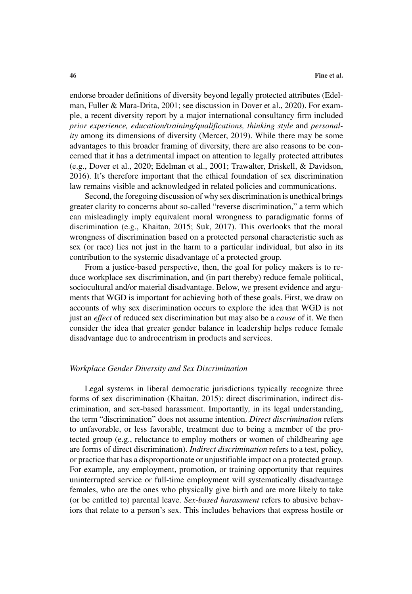endorse broader definitions of diversity beyond legally protected attributes (Edelman, Fuller & Mara-Drita, 2001; see discussion in Dover et al., 2020). For example, a recent diversity report by a major international consultancy firm included *prior experience, education/training/qualifications, thinking style* and *personality* among its dimensions of diversity (Mercer, 2019). While there may be some advantages to this broader framing of diversity, there are also reasons to be concerned that it has a detrimental impact on attention to legally protected attributes (e.g., Dover et al., 2020; Edelman et al., 2001; Trawalter, Driskell, & Davidson, 2016). It's therefore important that the ethical foundation of sex discrimination law remains visible and acknowledged in related policies and communications.

Second, the foregoing discussion of why sex discrimination is unethical brings greater clarity to concerns about so-called "reverse discrimination," a term which can misleadingly imply equivalent moral wrongness to paradigmatic forms of discrimination (e.g., Khaitan, 2015; Suk, 2017). This overlooks that the moral wrongness of discrimination based on a protected personal characteristic such as sex (or race) lies not just in the harm to a particular individual, but also in its contribution to the systemic disadvantage of a protected group.

From a justice-based perspective, then, the goal for policy makers is to reduce workplace sex discrimination, and (in part thereby) reduce female political, sociocultural and/or material disadvantage. Below, we present evidence and arguments that WGD is important for achieving both of these goals. First, we draw on accounts of why sex discrimination occurs to explore the idea that WGD is not just an *effect* of reduced sex discrimination but may also be a *cause* of it. We then consider the idea that greater gender balance in leadership helps reduce female disadvantage due to androcentrism in products and services.

# *Workplace Gender Diversity and Sex Discrimination*

Legal systems in liberal democratic jurisdictions typically recognize three forms of sex discrimination (Khaitan, 2015): direct discrimination, indirect discrimination, and sex-based harassment. Importantly, in its legal understanding, the term "discrimination" does not assume intention. *Direct discrimination* refers to unfavorable, or less favorable, treatment due to being a member of the protected group (e.g., reluctance to employ mothers or women of childbearing age are forms of direct discrimination). *Indirect discrimination* refers to a test, policy, or practice that has a disproportionate or unjustifiable impact on a protected group. For example, any employment, promotion, or training opportunity that requires uninterrupted service or full-time employment will systematically disadvantage females, who are the ones who physically give birth and are more likely to take (or be entitled to) parental leave. *Sex-based harassment* refers to abusive behaviors that relate to a person's sex. This includes behaviors that express hostile or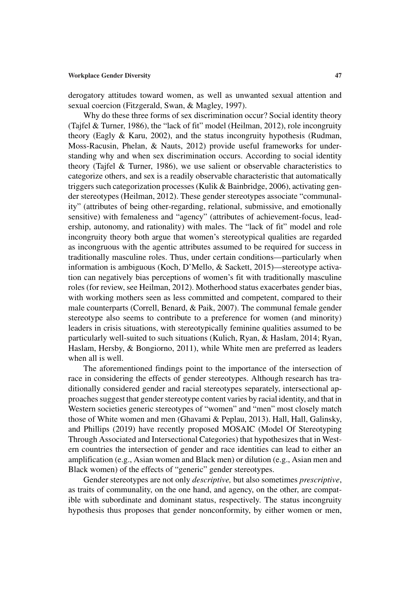derogatory attitudes toward women, as well as unwanted sexual attention and sexual coercion (Fitzgerald, Swan, & Magley, 1997).

Why do these three forms of sex discrimination occur? Social identity theory (Tajfel & Turner, 1986), the "lack of fit" model (Heilman, 2012), role incongruity theory (Eagly & Karu, 2002), and the status incongruity hypothesis (Rudman, Moss-Racusin, Phelan, & Nauts, 2012) provide useful frameworks for understanding why and when sex discrimination occurs. According to social identity theory (Tajfel & Turner, 1986), we use salient or observable characteristics to categorize others, and sex is a readily observable characteristic that automatically triggers such categorization processes (Kulik & Bainbridge, 2006), activating gender stereotypes (Heilman, 2012). These gender stereotypes associate "communality" (attributes of being other-regarding, relational, submissive, and emotionally sensitive) with femaleness and "agency" (attributes of achievement-focus, leadership, autonomy, and rationality) with males. The "lack of fit" model and role incongruity theory both argue that women's stereotypical qualities are regarded as incongruous with the agentic attributes assumed to be required for success in traditionally masculine roles. Thus, under certain conditions—particularly when information is ambiguous (Koch, D'Mello, & Sackett, 2015)—stereotype activation can negatively bias perceptions of women's fit with traditionally masculine roles (for review, see Heilman, 2012). Motherhood status exacerbates gender bias, with working mothers seen as less committed and competent, compared to their male counterparts (Correll, Benard, & Paik, 2007). The communal female gender stereotype also seems to contribute to a preference for women (and minority) leaders in crisis situations, with stereotypically feminine qualities assumed to be particularly well-suited to such situations (Kulich, Ryan, & Haslam, 2014; Ryan, Haslam, Hersby, & Bongiorno, 2011), while White men are preferred as leaders when all is well.

The aforementioned findings point to the importance of the intersection of race in considering the effects of gender stereotypes. Although research has traditionally considered gender and racial stereotypes separately, intersectional approaches suggest that gender stereotype content varies by racial identity, and that in Western societies generic stereotypes of "women" and "men" most closely match those of White women and men (Ghavami & Peplau, 2013). Hall, Hall, Galinsky, and Phillips (2019) have recently proposed MOSAIC (Model Of Stereotyping Through Associated and Intersectional Categories) that hypothesizes that in Western countries the intersection of gender and race identities can lead to either an amplification (e.g., Asian women and Black men) or dilution (e.g., Asian men and Black women) of the effects of "generic" gender stereotypes.

Gender stereotypes are not only *descriptive,* but also sometimes *prescriptive*, as traits of communality, on the one hand, and agency, on the other, are compatible with subordinate and dominant status, respectively. The status incongruity hypothesis thus proposes that gender nonconformity, by either women or men,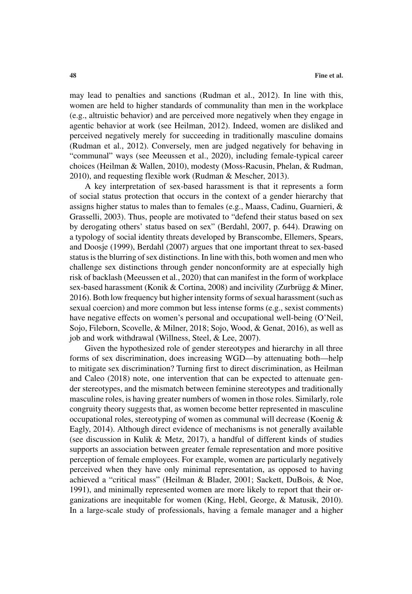may lead to penalties and sanctions (Rudman et al., 2012). In line with this, women are held to higher standards of communality than men in the workplace (e.g., altruistic behavior) and are perceived more negatively when they engage in agentic behavior at work (see Heilman, 2012). Indeed, women are disliked and perceived negatively merely for succeeding in traditionally masculine domains (Rudman et al., 2012). Conversely, men are judged negatively for behaving in "communal" ways (see Meeussen et al., 2020), including female-typical career choices (Heilman & Wallen, 2010), modesty (Moss-Racusin, Phelan, & Rudman, 2010), and requesting flexible work (Rudman & Mescher, 2013).

A key interpretation of sex-based harassment is that it represents a form of social status protection that occurs in the context of a gender hierarchy that assigns higher status to males than to females (e.g., Maass, Cadinu, Guarnieri, & Grasselli, 2003). Thus, people are motivated to "defend their status based on sex by derogating others' status based on sex" (Berdahl, 2007, p. 644). Drawing on a typology of social identity threats developed by Branscombe, Ellemers, Spears, and Doosje (1999), Berdahl (2007) argues that one important threat to sex-based status is the blurring of sex distinctions. In line with this, both women and men who challenge sex distinctions through gender nonconformity are at especially high risk of backlash (Meeussen et al., 2020) that can manifest in the form of workplace sex-based harassment (Konik & Cortina, 2008) and incivility (Zurbrügg & Miner, 2016). Both low frequency but higher intensity forms of sexual harassment (such as sexual coercion) and more common but less intense forms (e.g., sexist comments) have negative effects on women's personal and occupational well-being (O'Neil, Sojo, Fileborn, Scovelle, & Milner, 2018; Sojo, Wood, & Genat, 2016), as well as job and work withdrawal (Willness, Steel, & Lee, 2007).

Given the hypothesized role of gender stereotypes and hierarchy in all three forms of sex discrimination, does increasing WGD—by attenuating both—help to mitigate sex discrimination? Turning first to direct discrimination, as Heilman and Caleo (2018) note, one intervention that can be expected to attenuate gender stereotypes, and the mismatch between feminine stereotypes and traditionally masculine roles, is having greater numbers of women in those roles. Similarly, role congruity theory suggests that, as women become better represented in masculine occupational roles, stereotyping of women as communal will decrease (Koenig & Eagly, 2014). Although direct evidence of mechanisms is not generally available (see discussion in Kulik & Metz, 2017), a handful of different kinds of studies supports an association between greater female representation and more positive perception of female employees. For example, women are particularly negatively perceived when they have only minimal representation, as opposed to having achieved a "critical mass" (Heilman & Blader, 2001; Sackett, DuBois, & Noe, 1991), and minimally represented women are more likely to report that their organizations are inequitable for women (King, Hebl, George, & Matusik, 2010). In a large-scale study of professionals, having a female manager and a higher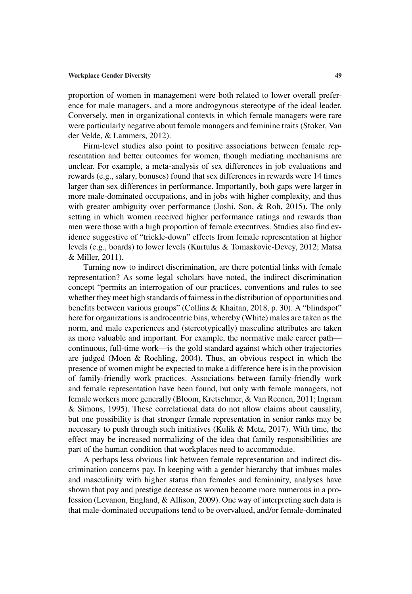proportion of women in management were both related to lower overall preference for male managers, and a more androgynous stereotype of the ideal leader. Conversely, men in organizational contexts in which female managers were rare were particularly negative about female managers and feminine traits (Stoker, Van der Velde, & Lammers, 2012).

Firm-level studies also point to positive associations between female representation and better outcomes for women, though mediating mechanisms are unclear. For example, a meta-analysis of sex differences in job evaluations and rewards (e.g., salary, bonuses) found that sex differences in rewards were 14 times larger than sex differences in performance. Importantly, both gaps were larger in more male-dominated occupations, and in jobs with higher complexity, and thus with greater ambiguity over performance (Joshi, Son, & Roh, 2015). The only setting in which women received higher performance ratings and rewards than men were those with a high proportion of female executives. Studies also find evidence suggestive of "trickle-down" effects from female representation at higher levels (e.g., boards) to lower levels (Kurtulus & Tomaskovic-Devey, 2012; Matsa & Miller, 2011).

Turning now to indirect discrimination, are there potential links with female representation? As some legal scholars have noted, the indirect discrimination concept "permits an interrogation of our practices, conventions and rules to see whether they meet high standards of fairness in the distribution of opportunities and benefits between various groups" (Collins & Khaitan, 2018, p. 30). A "blindspot" here for organizations is androcentric bias, whereby (White) males are taken as the norm, and male experiences and (stereotypically) masculine attributes are taken as more valuable and important. For example, the normative male career path continuous, full-time work—is the gold standard against which other trajectories are judged (Moen & Roehling, 2004). Thus, an obvious respect in which the presence of women might be expected to make a difference here is in the provision of family-friendly work practices. Associations between family-friendly work and female representation have been found, but only with female managers, not female workers more generally (Bloom, Kretschmer, & Van Reenen, 2011; Ingram & Simons, 1995). These correlational data do not allow claims about causality, but one possibility is that stronger female representation in senior ranks may be necessary to push through such initiatives (Kulik & Metz, 2017). With time, the effect may be increased normalizing of the idea that family responsibilities are part of the human condition that workplaces need to accommodate.

A perhaps less obvious link between female representation and indirect discrimination concerns pay. In keeping with a gender hierarchy that imbues males and masculinity with higher status than females and femininity, analyses have shown that pay and prestige decrease as women become more numerous in a profession (Levanon, England, & Allison, 2009). One way of interpreting such data is that male-dominated occupations tend to be overvalued, and/or female-dominated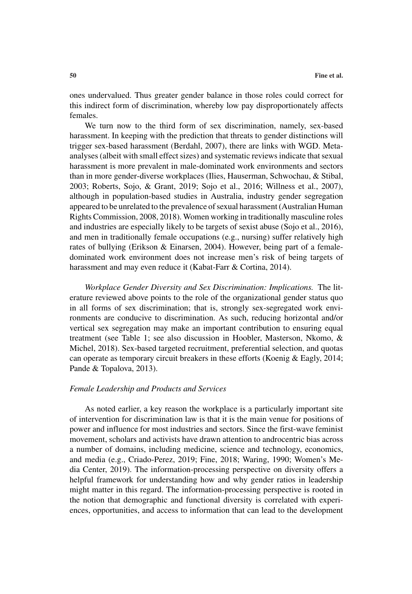ones undervalued. Thus greater gender balance in those roles could correct for this indirect form of discrimination, whereby low pay disproportionately affects females.

We turn now to the third form of sex discrimination, namely, sex-based harassment. In keeping with the prediction that threats to gender distinctions will trigger sex-based harassment (Berdahl, 2007), there are links with WGD. Metaanalyses (albeit with small effect sizes) and systematic reviews indicate that sexual harassment is more prevalent in male-dominated work environments and sectors than in more gender-diverse workplaces (Ilies, Hauserman, Schwochau, & Stibal, 2003; Roberts, Sojo, & Grant, 2019; Sojo et al., 2016; Willness et al., 2007), although in population-based studies in Australia, industry gender segregation appeared to be unrelated to the prevalence of sexual harassment (Australian Human Rights Commission, 2008, 2018). Women working in traditionally masculine roles and industries are especially likely to be targets of sexist abuse (Sojo et al., 2016), and men in traditionally female occupations (e.g., nursing) suffer relatively high rates of bullying (Erikson & Einarsen, 2004). However, being part of a femaledominated work environment does not increase men's risk of being targets of harassment and may even reduce it (Kabat-Farr & Cortina, 2014).

*Workplace Gender Diversity and Sex Discrimination: Implications.* The literature reviewed above points to the role of the organizational gender status quo in all forms of sex discrimination; that is, strongly sex-segregated work environments are conducive to discrimination. As such, reducing horizontal and/or vertical sex segregation may make an important contribution to ensuring equal treatment (see Table 1; see also discussion in Hoobler, Masterson, Nkomo, & Michel, 2018). Sex-based targeted recruitment, preferential selection, and quotas can operate as temporary circuit breakers in these efforts (Koenig & Eagly, 2014; Pande & Topalova, 2013).

# *Female Leadership and Products and Services*

As noted earlier, a key reason the workplace is a particularly important site of intervention for discrimination law is that it is the main venue for positions of power and influence for most industries and sectors. Since the first-wave feminist movement, scholars and activists have drawn attention to androcentric bias across a number of domains, including medicine, science and technology, economics, and media (e.g., Criado-Perez, 2019; Fine, 2018; Waring, 1990; Women's Media Center, 2019). The information-processing perspective on diversity offers a helpful framework for understanding how and why gender ratios in leadership might matter in this regard. The information-processing perspective is rooted in the notion that demographic and functional diversity is correlated with experiences, opportunities, and access to information that can lead to the development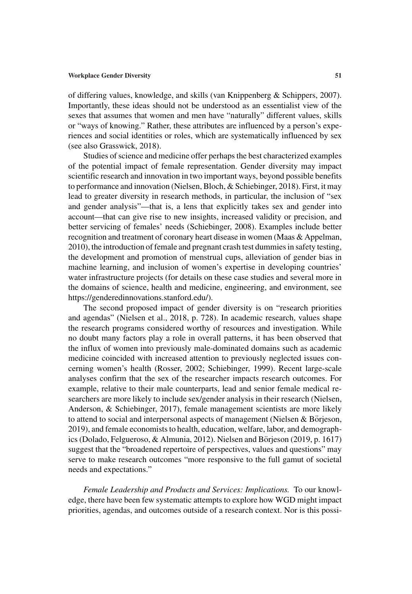of differing values, knowledge, and skills (van Knippenberg & Schippers, 2007). Importantly, these ideas should not be understood as an essentialist view of the sexes that assumes that women and men have "naturally" different values, skills or "ways of knowing." Rather, these attributes are influenced by a person's experiences and social identities or roles, which are systematically influenced by sex (see also Grasswick, 2018).

Studies of science and medicine offer perhaps the best characterized examples of the potential impact of female representation. Gender diversity may impact scientific research and innovation in two important ways, beyond possible benefits to performance and innovation (Nielsen, Bloch, & Schiebinger, 2018). First, it may lead to greater diversity in research methods, in particular, the inclusion of "sex and gender analysis"—that is, a lens that explicitly takes sex and gender into account—that can give rise to new insights, increased validity or precision, and better servicing of females' needs (Schiebinger, 2008). Examples include better recognition and treatment of coronary heart disease in women (Maas & Appelman, 2010), the introduction of female and pregnant crash test dummies in safety testing, the development and promotion of menstrual cups, alleviation of gender bias in machine learning, and inclusion of women's expertise in developing countries' water infrastructure projects (for details on these case studies and several more in the domains of science, health and medicine, engineering, and environment, see https://genderedinnovations.stanford.edu/).

The second proposed impact of gender diversity is on "research priorities and agendas" (Nielsen et al., 2018, p. 728). In academic research, values shape the research programs considered worthy of resources and investigation. While no doubt many factors play a role in overall patterns, it has been observed that the influx of women into previously male-dominated domains such as academic medicine coincided with increased attention to previously neglected issues concerning women's health (Rosser, 2002; Schiebinger, 1999). Recent large-scale analyses confirm that the sex of the researcher impacts research outcomes. For example, relative to their male counterparts, lead and senior female medical researchers are more likely to include sex/gender analysis in their research (Nielsen, Anderson, & Schiebinger, 2017), female management scientists are more likely to attend to social and interpersonal aspects of management (Nielsen  $&$  Börjeson, 2019), and female economists to health, education, welfare, labor, and demographics (Dolado, Felgueroso, & Almunia, 2012). Nielsen and Börjeson (2019, p. 1617) suggest that the "broadened repertoire of perspectives, values and questions" may serve to make research outcomes "more responsive to the full gamut of societal needs and expectations."

*Female Leadership and Products and Services: Implications.* To our knowledge, there have been few systematic attempts to explore how WGD might impact priorities, agendas, and outcomes outside of a research context. Nor is this possi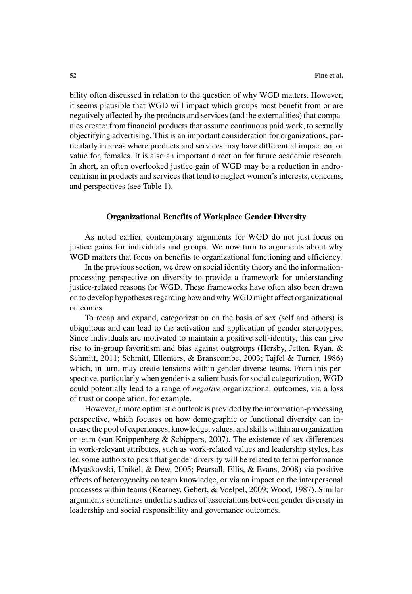bility often discussed in relation to the question of why WGD matters. However, it seems plausible that WGD will impact which groups most benefit from or are negatively affected by the products and services (and the externalities) that companies create: from financial products that assume continuous paid work, to sexually objectifying advertising. This is an important consideration for organizations, particularly in areas where products and services may have differential impact on, or value for, females. It is also an important direction for future academic research. In short, an often overlooked justice gain of WGD may be a reduction in androcentrism in products and services that tend to neglect women's interests, concerns, and perspectives (see Table 1).

# **Organizational Benefits of Workplace Gender Diversity**

As noted earlier, contemporary arguments for WGD do not just focus on justice gains for individuals and groups. We now turn to arguments about why WGD matters that focus on benefits to organizational functioning and efficiency.

In the previous section, we drew on social identity theory and the informationprocessing perspective on diversity to provide a framework for understanding justice-related reasons for WGD. These frameworks have often also been drawn on to develop hypotheses regarding how and whyWGD might affect organizational outcomes.

To recap and expand, categorization on the basis of sex (self and others) is ubiquitous and can lead to the activation and application of gender stereotypes. Since individuals are motivated to maintain a positive self-identity, this can give rise to in-group favoritism and bias against outgroups (Hersby, Jetten, Ryan, & Schmitt, 2011; Schmitt, Ellemers, & Branscombe, 2003; Tajfel & Turner, 1986) which, in turn, may create tensions within gender-diverse teams. From this perspective, particularly when gender is a salient basis for social categorization, WGD could potentially lead to a range of *negative* organizational outcomes, via a loss of trust or cooperation, for example.

However, a more optimistic outlook is provided by the information-processing perspective, which focuses on how demographic or functional diversity can increase the pool of experiences, knowledge, values, and skills within an organization or team (van Knippenberg & Schippers, 2007). The existence of sex differences in work-relevant attributes, such as work-related values and leadership styles, has led some authors to posit that gender diversity will be related to team performance (Myaskovski, Unikel, & Dew, 2005; Pearsall, Ellis, & Evans, 2008) via positive effects of heterogeneity on team knowledge, or via an impact on the interpersonal processes within teams (Kearney, Gebert, & Voelpel, 2009; Wood, 1987). Similar arguments sometimes underlie studies of associations between gender diversity in leadership and social responsibility and governance outcomes.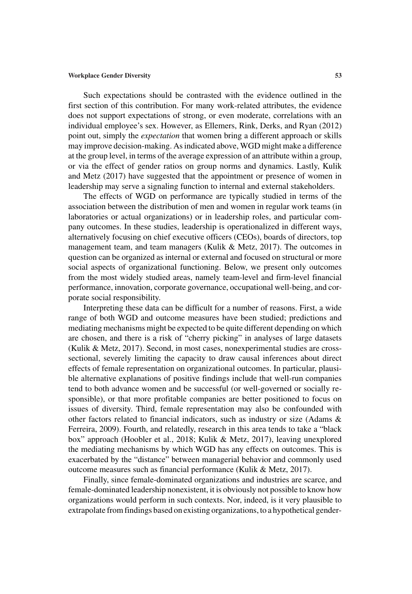Such expectations should be contrasted with the evidence outlined in the first section of this contribution. For many work-related attributes, the evidence does not support expectations of strong, or even moderate, correlations with an individual employee's sex. However, as Ellemers, Rink, Derks, and Ryan (2012) point out, simply the *expectation* that women bring a different approach or skills may improve decision-making. As indicated above, WGD might make a difference at the group level, in terms of the average expression of an attribute within a group, or via the effect of gender ratios on group norms and dynamics. Lastly, Kulik and Metz (2017) have suggested that the appointment or presence of women in leadership may serve a signaling function to internal and external stakeholders.

The effects of WGD on performance are typically studied in terms of the association between the distribution of men and women in regular work teams (in laboratories or actual organizations) or in leadership roles, and particular company outcomes. In these studies, leadership is operationalized in different ways, alternatively focusing on chief executive officers (CEOs), boards of directors, top management team, and team managers (Kulik & Metz, 2017). The outcomes in question can be organized as internal or external and focused on structural or more social aspects of organizational functioning. Below, we present only outcomes from the most widely studied areas, namely team-level and firm-level financial performance, innovation, corporate governance, occupational well-being, and corporate social responsibility.

Interpreting these data can be difficult for a number of reasons. First, a wide range of both WGD and outcome measures have been studied; predictions and mediating mechanisms might be expected to be quite different depending on which are chosen, and there is a risk of "cherry picking" in analyses of large datasets (Kulik & Metz, 2017). Second, in most cases, nonexperimental studies are crosssectional, severely limiting the capacity to draw causal inferences about direct effects of female representation on organizational outcomes. In particular, plausible alternative explanations of positive findings include that well-run companies tend to both advance women and be successful (or well-governed or socially responsible), or that more profitable companies are better positioned to focus on issues of diversity. Third, female representation may also be confounded with other factors related to financial indicators, such as industry or size (Adams & Ferreira, 2009). Fourth, and relatedly, research in this area tends to take a "black box" approach (Hoobler et al., 2018; Kulik & Metz, 2017), leaving unexplored the mediating mechanisms by which WGD has any effects on outcomes. This is exacerbated by the "distance" between managerial behavior and commonly used outcome measures such as financial performance (Kulik & Metz, 2017).

Finally, since female-dominated organizations and industries are scarce, and female-dominated leadership nonexistent, it is obviously not possible to know how organizations would perform in such contexts. Nor, indeed, is it very plausible to extrapolate from findings based on existing organizations, to a hypothetical gender-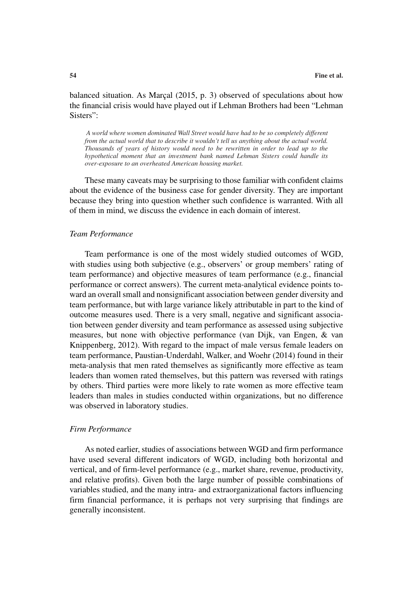balanced situation. As Marc $a$ l (2015, p. 3) observed of speculations about how the financial crisis would have played out if Lehman Brothers had been "Lehman Sisters":

*A world where women dominated Wall Street would have had to be so completely different from the actual world that to describe it wouldn't tell us anything about the actual world. Thousands of years of history would need to be rewritten in order to lead up to the hypothetical moment that an investment bank named Lehman Sisters could handle its over-exposure to an overheated American housing market.*

These many caveats may be surprising to those familiar with confident claims about the evidence of the business case for gender diversity. They are important because they bring into question whether such confidence is warranted. With all of them in mind, we discuss the evidence in each domain of interest.

# *Team Performance*

Team performance is one of the most widely studied outcomes of WGD, with studies using both subjective (e.g., observers' or group members' rating of team performance) and objective measures of team performance (e.g., financial performance or correct answers). The current meta-analytical evidence points toward an overall small and nonsignificant association between gender diversity and team performance, but with large variance likely attributable in part to the kind of outcome measures used. There is a very small, negative and significant association between gender diversity and team performance as assessed using subjective measures, but none with objective performance (van Dijk, van Engen, & van Knippenberg, 2012). With regard to the impact of male versus female leaders on team performance, Paustian-Underdahl, Walker, and Woehr (2014) found in their meta-analysis that men rated themselves as significantly more effective as team leaders than women rated themselves, but this pattern was reversed with ratings by others. Third parties were more likely to rate women as more effective team leaders than males in studies conducted within organizations, but no difference was observed in laboratory studies.

### *Firm Performance*

As noted earlier, studies of associations between WGD and firm performance have used several different indicators of WGD, including both horizontal and vertical, and of firm-level performance (e.g., market share, revenue, productivity, and relative profits). Given both the large number of possible combinations of variables studied, and the many intra- and extraorganizational factors influencing firm financial performance, it is perhaps not very surprising that findings are generally inconsistent.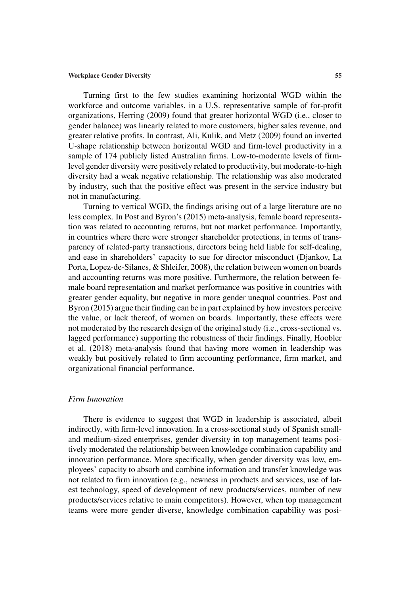Turning first to the few studies examining horizontal WGD within the workforce and outcome variables, in a U.S. representative sample of for-profit organizations, Herring (2009) found that greater horizontal WGD (i.e., closer to gender balance) was linearly related to more customers, higher sales revenue, and greater relative profits. In contrast, Ali, Kulik, and Metz (2009) found an inverted U-shape relationship between horizontal WGD and firm-level productivity in a sample of 174 publicly listed Australian firms. Low-to-moderate levels of firmlevel gender diversity were positively related to productivity, but moderate-to-high diversity had a weak negative relationship. The relationship was also moderated by industry, such that the positive effect was present in the service industry but not in manufacturing.

Turning to vertical WGD, the findings arising out of a large literature are no less complex. In Post and Byron's (2015) meta-analysis, female board representation was related to accounting returns, but not market performance. Importantly, in countries where there were stronger shareholder protections, in terms of transparency of related-party transactions, directors being held liable for self-dealing, and ease in shareholders' capacity to sue for director misconduct (Djankov, La Porta, Lopez-de-Silanes, & Shleifer, 2008), the relation between women on boards and accounting returns was more positive. Furthermore, the relation between female board representation and market performance was positive in countries with greater gender equality, but negative in more gender unequal countries. Post and Byron (2015) argue their finding can be in part explained by how investors perceive the value, or lack thereof, of women on boards. Importantly, these effects were not moderated by the research design of the original study (i.e., cross-sectional vs. lagged performance) supporting the robustness of their findings. Finally, Hoobler et al. (2018) meta-analysis found that having more women in leadership was weakly but positively related to firm accounting performance, firm market, and organizational financial performance.

# *Firm Innovation*

There is evidence to suggest that WGD in leadership is associated, albeit indirectly, with firm-level innovation. In a cross-sectional study of Spanish smalland medium-sized enterprises, gender diversity in top management teams positively moderated the relationship between knowledge combination capability and innovation performance. More specifically, when gender diversity was low, employees' capacity to absorb and combine information and transfer knowledge was not related to firm innovation (e.g., newness in products and services, use of latest technology, speed of development of new products/services, number of new products/services relative to main competitors). However, when top management teams were more gender diverse, knowledge combination capability was posi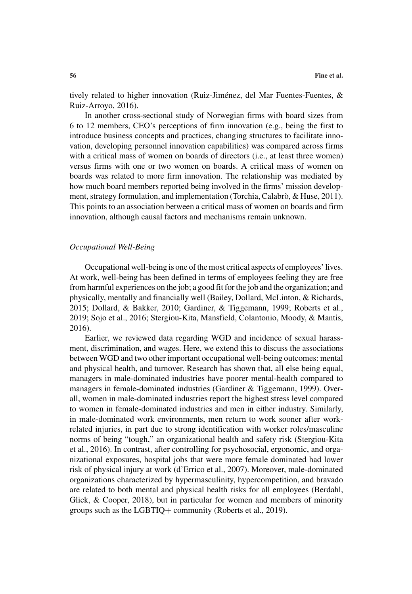tively related to higher innovation (Ruiz-Jiménez, del Mar Fuentes-Fuentes,  $\&$ Ruiz-Arroyo, 2016).

In another cross-sectional study of Norwegian firms with board sizes from 6 to 12 members, CEO's perceptions of firm innovation (e.g., being the first to introduce business concepts and practices, changing structures to facilitate innovation, developing personnel innovation capabilities) was compared across firms with a critical mass of women on boards of directors (i.e., at least three women) versus firms with one or two women on boards. A critical mass of women on boards was related to more firm innovation. The relationship was mediated by how much board members reported being involved in the firms' mission development, strategy formulation, and implementation (Torchia, Calabrò, & Huse, 2011). This points to an association between a critical mass of women on boards and firm innovation, although causal factors and mechanisms remain unknown.

### *Occupational Well-Being*

Occupational well-being is one of the most critical aspects of employees' lives. At work, well-being has been defined in terms of employees feeling they are free from harmful experiences on the job; a good fit for the job and the organization; and physically, mentally and financially well (Bailey, Dollard, McLinton, & Richards, 2015; Dollard, & Bakker, 2010; Gardiner, & Tiggemann, 1999; Roberts et al., 2019; Sojo et al., 2016; Stergiou-Kita, Mansfield, Colantonio, Moody, & Mantis, 2016).

Earlier, we reviewed data regarding WGD and incidence of sexual harassment, discrimination, and wages. Here, we extend this to discuss the associations between WGD and two other important occupational well-being outcomes: mental and physical health, and turnover. Research has shown that, all else being equal, managers in male-dominated industries have poorer mental-health compared to managers in female-dominated industries (Gardiner & Tiggemann, 1999). Overall, women in male-dominated industries report the highest stress level compared to women in female-dominated industries and men in either industry. Similarly, in male-dominated work environments, men return to work sooner after workrelated injuries, in part due to strong identification with worker roles/masculine norms of being "tough," an organizational health and safety risk (Stergiou-Kita et al., 2016). In contrast, after controlling for psychosocial, ergonomic, and organizational exposures, hospital jobs that were more female dominated had lower risk of physical injury at work (d'Errico et al., 2007). Moreover, male-dominated organizations characterized by hypermasculinity, hypercompetition, and bravado are related to both mental and physical health risks for all employees (Berdahl, Glick, & Cooper, 2018), but in particular for women and members of minority groups such as the LGBTIQ+ community (Roberts et al., 2019).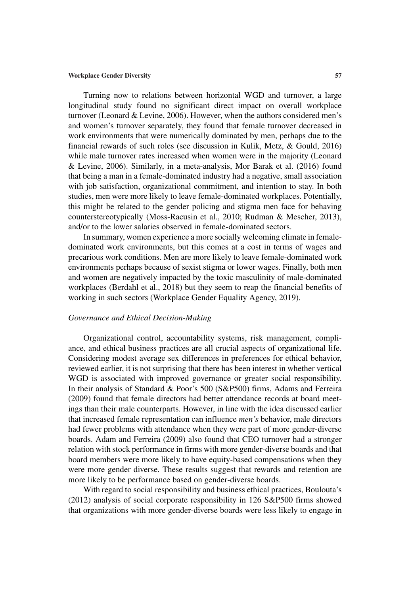Turning now to relations between horizontal WGD and turnover, a large longitudinal study found no significant direct impact on overall workplace turnover (Leonard & Levine, 2006). However, when the authors considered men's and women's turnover separately, they found that female turnover decreased in work environments that were numerically dominated by men, perhaps due to the financial rewards of such roles (see discussion in Kulik, Metz, & Gould, 2016) while male turnover rates increased when women were in the majority (Leonard & Levine, 2006). Similarly, in a meta-analysis, Mor Barak et al. (2016) found that being a man in a female-dominated industry had a negative, small association with job satisfaction, organizational commitment, and intention to stay. In both studies, men were more likely to leave female-dominated workplaces. Potentially, this might be related to the gender policing and stigma men face for behaving counterstereotypically (Moss-Racusin et al., 2010; Rudman & Mescher, 2013), and/or to the lower salaries observed in female-dominated sectors.

In summary, women experience a more socially welcoming climate in femaledominated work environments, but this comes at a cost in terms of wages and precarious work conditions. Men are more likely to leave female-dominated work environments perhaps because of sexist stigma or lower wages. Finally, both men and women are negatively impacted by the toxic masculinity of male-dominated workplaces (Berdahl et al., 2018) but they seem to reap the financial benefits of working in such sectors (Workplace Gender Equality Agency, 2019).

# *Governance and Ethical Decision-Making*

Organizational control, accountability systems, risk management, compliance, and ethical business practices are all crucial aspects of organizational life. Considering modest average sex differences in preferences for ethical behavior, reviewed earlier, it is not surprising that there has been interest in whether vertical WGD is associated with improved governance or greater social responsibility. In their analysis of Standard & Poor's 500 (S&P500) firms, Adams and Ferreira (2009) found that female directors had better attendance records at board meetings than their male counterparts. However, in line with the idea discussed earlier that increased female representation can influence *men's* behavior, male directors had fewer problems with attendance when they were part of more gender-diverse boards. Adam and Ferreira (2009) also found that CEO turnover had a stronger relation with stock performance in firms with more gender-diverse boards and that board members were more likely to have equity-based compensations when they were more gender diverse. These results suggest that rewards and retention are more likely to be performance based on gender-diverse boards.

With regard to social responsibility and business ethical practices, Boulouta's (2012) analysis of social corporate responsibility in 126 S&P500 firms showed that organizations with more gender-diverse boards were less likely to engage in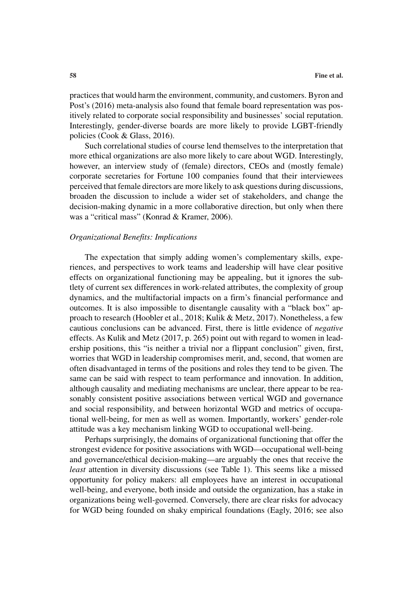practices that would harm the environment, community, and customers. Byron and Post's (2016) meta-analysis also found that female board representation was positively related to corporate social responsibility and businesses' social reputation. Interestingly, gender-diverse boards are more likely to provide LGBT-friendly policies (Cook & Glass, 2016).

Such correlational studies of course lend themselves to the interpretation that more ethical organizations are also more likely to care about WGD. Interestingly, however, an interview study of (female) directors, CEOs and (mostly female) corporate secretaries for Fortune 100 companies found that their interviewees perceived that female directors are more likely to ask questions during discussions, broaden the discussion to include a wider set of stakeholders, and change the decision-making dynamic in a more collaborative direction, but only when there was a "critical mass" (Konrad & Kramer, 2006).

# *Organizational Benefits: Implications*

The expectation that simply adding women's complementary skills, experiences, and perspectives to work teams and leadership will have clear positive effects on organizational functioning may be appealing, but it ignores the subtlety of current sex differences in work-related attributes, the complexity of group dynamics, and the multifactorial impacts on a firm's financial performance and outcomes. It is also impossible to disentangle causality with a "black box" approach to research (Hoobler et al., 2018; Kulik & Metz, 2017). Nonetheless, a few cautious conclusions can be advanced. First, there is little evidence of *negative* effects. As Kulik and Metz (2017, p. 265) point out with regard to women in leadership positions, this "is neither a trivial nor a flippant conclusion" given, first, worries that WGD in leadership compromises merit, and, second, that women are often disadvantaged in terms of the positions and roles they tend to be given. The same can be said with respect to team performance and innovation. In addition, although causality and mediating mechanisms are unclear, there appear to be reasonably consistent positive associations between vertical WGD and governance and social responsibility, and between horizontal WGD and metrics of occupational well-being, for men as well as women. Importantly, workers' gender-role attitude was a key mechanism linking WGD to occupational well-being.

Perhaps surprisingly, the domains of organizational functioning that offer the strongest evidence for positive associations with WGD—occupational well-being and governance/ethical decision-making—are arguably the ones that receive the *least* attention in diversity discussions (see Table 1). This seems like a missed opportunity for policy makers: all employees have an interest in occupational well-being, and everyone, both inside and outside the organization, has a stake in organizations being well-governed. Conversely, there are clear risks for advocacy for WGD being founded on shaky empirical foundations (Eagly, 2016; see also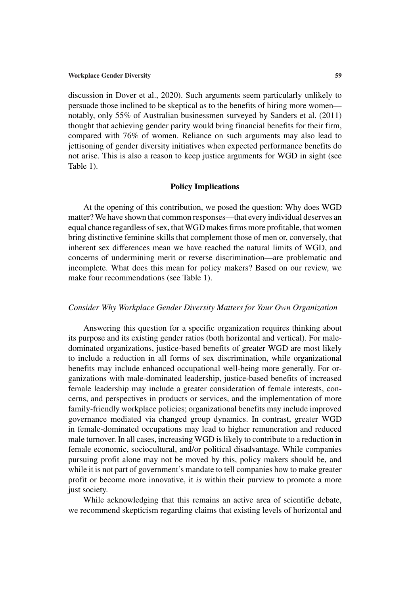discussion in Dover et al., 2020). Such arguments seem particularly unlikely to persuade those inclined to be skeptical as to the benefits of hiring more women notably, only 55% of Australian businessmen surveyed by Sanders et al. (2011) thought that achieving gender parity would bring financial benefits for their firm, compared with 76% of women. Reliance on such arguments may also lead to jettisoning of gender diversity initiatives when expected performance benefits do not arise. This is also a reason to keep justice arguments for WGD in sight (see Table 1).

# **Policy Implications**

At the opening of this contribution, we posed the question: Why does WGD matter? We have shown that common responses—that every individual deserves an equal chance regardless of sex, that WGD makes firms more profitable, that women bring distinctive feminine skills that complement those of men or, conversely, that inherent sex differences mean we have reached the natural limits of WGD, and concerns of undermining merit or reverse discrimination—are problematic and incomplete. What does this mean for policy makers? Based on our review, we make four recommendations (see Table 1).

# *Consider Why Workplace Gender Diversity Matters for Your Own Organization*

Answering this question for a specific organization requires thinking about its purpose and its existing gender ratios (both horizontal and vertical). For maledominated organizations, justice-based benefits of greater WGD are most likely to include a reduction in all forms of sex discrimination, while organizational benefits may include enhanced occupational well-being more generally. For organizations with male-dominated leadership, justice-based benefits of increased female leadership may include a greater consideration of female interests, concerns, and perspectives in products or services, and the implementation of more family-friendly workplace policies; organizational benefits may include improved governance mediated via changed group dynamics. In contrast, greater WGD in female-dominated occupations may lead to higher remuneration and reduced male turnover. In all cases, increasing WGD is likely to contribute to a reduction in female economic, sociocultural, and/or political disadvantage. While companies pursuing profit alone may not be moved by this, policy makers should be, and while it is not part of government's mandate to tell companies how to make greater profit or become more innovative, it *is* within their purview to promote a more just society.

While acknowledging that this remains an active area of scientific debate, we recommend skepticism regarding claims that existing levels of horizontal and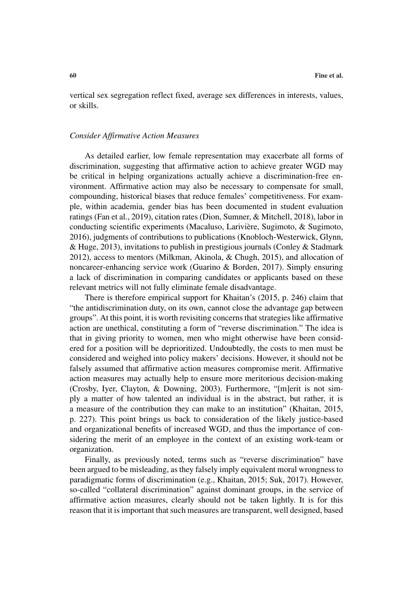vertical sex segregation reflect fixed, average sex differences in interests, values, or skills.

#### *Consider Affirmative Action Measures*

As detailed earlier, low female representation may exacerbate all forms of discrimination, suggesting that affirmative action to achieve greater WGD may be critical in helping organizations actually achieve a discrimination-free environment. Affirmative action may also be necessary to compensate for small, compounding, historical biases that reduce females' competitiveness. For example, within academia, gender bias has been documented in student evaluation ratings (Fan et al., 2019), citation rates (Dion, Sumner, & Mitchell, 2018), labor in conducting scientific experiments (Macaluso, Lariviere, Sugimoto, & Sugimoto, ` 2016), judgments of contributions to publications (Knobloch-Westerwick, Glynn, & Huge, 2013), invitations to publish in prestigious journals (Conley & Stadmark 2012), access to mentors (Milkman, Akinola, & Chugh, 2015), and allocation of noncareer-enhancing service work (Guarino & Borden, 2017). Simply ensuring a lack of discrimination in comparing candidates or applicants based on these relevant metrics will not fully eliminate female disadvantage.

There is therefore empirical support for Khaitan's (2015, p. 246) claim that "the antidiscrimination duty, on its own, cannot close the advantage gap between groups". At this point, it is worth revisiting concerns that strategies like affirmative action are unethical, constituting a form of "reverse discrimination." The idea is that in giving priority to women, men who might otherwise have been considered for a position will be deprioritized. Undoubtedly, the costs to men must be considered and weighed into policy makers' decisions. However, it should not be falsely assumed that affirmative action measures compromise merit. Affirmative action measures may actually help to ensure more meritorious decision-making (Crosby, Iyer, Clayton, & Downing, 2003). Furthermore, "[m]erit is not simply a matter of how talented an individual is in the abstract, but rather, it is a measure of the contribution they can make to an institution" (Khaitan, 2015, p. 227). This point brings us back to consideration of the likely justice-based and organizational benefits of increased WGD, and thus the importance of considering the merit of an employee in the context of an existing work-team or organization.

Finally, as previously noted, terms such as "reverse discrimination" have been argued to be misleading, as they falsely imply equivalent moral wrongness to paradigmatic forms of discrimination (e.g., Khaitan, 2015; Suk, 2017). However, so-called "collateral discrimination" against dominant groups, in the service of affirmative action measures, clearly should not be taken lightly. It is for this reason that it is important that such measures are transparent, well designed, based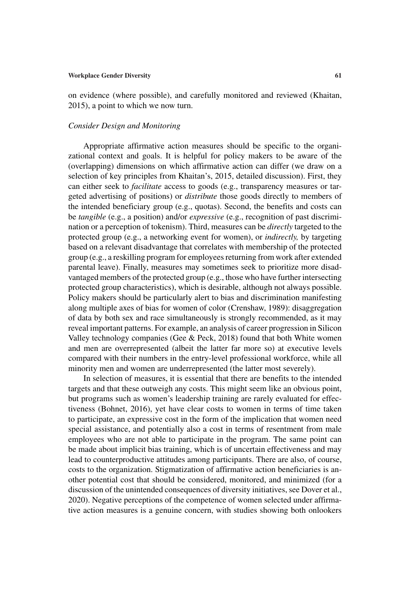on evidence (where possible), and carefully monitored and reviewed (Khaitan, 2015), a point to which we now turn.

# *Consider Design and Monitoring*

Appropriate affirmative action measures should be specific to the organizational context and goals. It is helpful for policy makers to be aware of the (overlapping) dimensions on which affirmative action can differ (we draw on a selection of key principles from Khaitan's, 2015, detailed discussion). First, they can either seek to *facilitate* access to goods (e.g., transparency measures or targeted advertising of positions) or *distribute* those goods directly to members of the intended beneficiary group (e.g., quotas). Second, the benefits and costs can be *tangible* (e.g., a position) and/or *expressive* (e.g., recognition of past discrimination or a perception of tokenism). Third, measures can be *directly* targeted to the protected group (e.g., a networking event for women), or *indirectly,* by targeting based on a relevant disadvantage that correlates with membership of the protected group (e.g., a reskilling program for employees returning from work after extended parental leave). Finally, measures may sometimes seek to prioritize more disadvantaged members of the protected group (e.g., those who have further intersecting protected group characteristics), which is desirable, although not always possible. Policy makers should be particularly alert to bias and discrimination manifesting along multiple axes of bias for women of color (Crenshaw, 1989): disaggregation of data by both sex and race simultaneously is strongly recommended, as it may reveal important patterns. For example, an analysis of career progression in Silicon Valley technology companies (Gee  $& Peck$ , 2018) found that both White women and men are overrepresented (albeit the latter far more so) at executive levels compared with their numbers in the entry-level professional workforce, while all minority men and women are underrepresented (the latter most severely).

In selection of measures, it is essential that there are benefits to the intended targets and that these outweigh any costs. This might seem like an obvious point, but programs such as women's leadership training are rarely evaluated for effectiveness (Bohnet, 2016), yet have clear costs to women in terms of time taken to participate, an expressive cost in the form of the implication that women need special assistance, and potentially also a cost in terms of resentment from male employees who are not able to participate in the program. The same point can be made about implicit bias training, which is of uncertain effectiveness and may lead to counterproductive attitudes among participants. There are also, of course, costs to the organization. Stigmatization of affirmative action beneficiaries is another potential cost that should be considered, monitored, and minimized (for a discussion of the unintended consequences of diversity initiatives, see Dover et al., 2020). Negative perceptions of the competence of women selected under affirmative action measures is a genuine concern, with studies showing both onlookers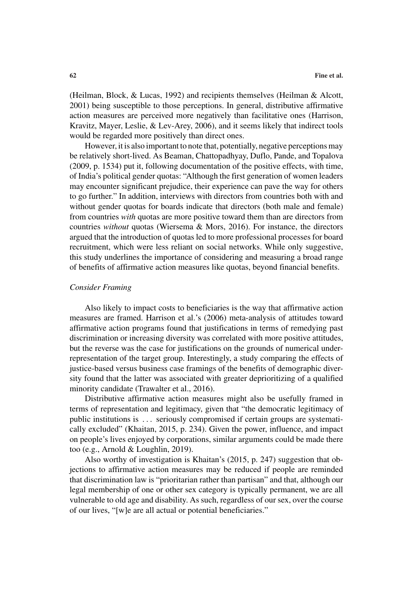(Heilman, Block, & Lucas, 1992) and recipients themselves (Heilman & Alcott, 2001) being susceptible to those perceptions. In general, distributive affirmative action measures are perceived more negatively than facilitative ones (Harrison, Kravitz, Mayer, Leslie, & Lev-Arey, 2006), and it seems likely that indirect tools would be regarded more positively than direct ones.

However, it is also important to note that, potentially, negative perceptions may be relatively short-lived. As Beaman, Chattopadhyay, Duflo, Pande, and Topalova (2009, p. 1534) put it, following documentation of the positive effects, with time, of India's political gender quotas: "Although the first generation of women leaders may encounter significant prejudice, their experience can pave the way for others to go further." In addition, interviews with directors from countries both with and without gender quotas for boards indicate that directors (both male and female) from countries *with* quotas are more positive toward them than are directors from countries *without* quotas (Wiersema & Mors, 2016). For instance, the directors argued that the introduction of quotas led to more professional processes for board recruitment, which were less reliant on social networks. While only suggestive, this study underlines the importance of considering and measuring a broad range of benefits of affirmative action measures like quotas, beyond financial benefits.

# *Consider Framing*

Also likely to impact costs to beneficiaries is the way that affirmative action measures are framed. Harrison et al.'s (2006) meta-analysis of attitudes toward affirmative action programs found that justifications in terms of remedying past discrimination or increasing diversity was correlated with more positive attitudes, but the reverse was the case for justifications on the grounds of numerical underrepresentation of the target group. Interestingly, a study comparing the effects of justice-based versus business case framings of the benefits of demographic diversity found that the latter was associated with greater deprioritizing of a qualified minority candidate (Trawalter et al., 2016).

Distributive affirmative action measures might also be usefully framed in terms of representation and legitimacy, given that "the democratic legitimacy of public institutions is . . . seriously compromised if certain groups are systematically excluded" (Khaitan, 2015, p. 234). Given the power, influence, and impact on people's lives enjoyed by corporations, similar arguments could be made there too (e.g., Arnold & Loughlin, 2019).

Also worthy of investigation is Khaitan's (2015, p. 247) suggestion that objections to affirmative action measures may be reduced if people are reminded that discrimination law is "prioritarian rather than partisan" and that, although our legal membership of one or other sex category is typically permanent, we are all vulnerable to old age and disability. As such, regardless of our sex, over the course of our lives, "[w]e are all actual or potential beneficiaries."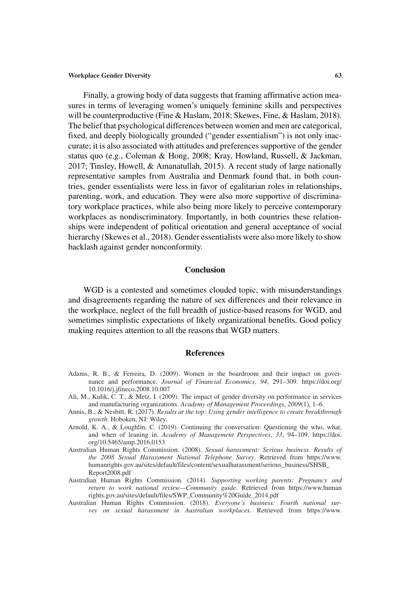Finally, a growing body of data suggests that framing affirmative action measures in terms of leveraging women's uniquely feminine skills and perspectives will be counterproductive (Fine & Haslam, 2018; Skewes, Fine, & Haslam, 2018). The belief that psychological differences between women and men are categorical, fixed, and deeply biologically grounded ("gender essentialism") is not only inaccurate; it is also associated with attitudes and preferences supportive of the gender status quo (e.g., Coleman & Hong, 2008; Kray, Howland, Russell, & Jackman, 2017; Tinsley, Howell, & Amanatullah, 2015). A recent study of large nationally representative samples from Australia and Denmark found that, in both countries, gender essentialists were less in favor of egalitarian roles in relationships, parenting, work, and education. They were also more supportive of discriminatory workplace practices, while also being more likely to perceive contemporary workplaces as nondiscriminatory. Importantly, in both countries these relationships were independent of political orientation and general acceptance of social hierarchy (Skewes et al., 2018). Gender essentialists were also more likely to show backlash against gender nonconformity.

# **Conclusion**

WGD is a contested and sometimes clouded topic, with misunderstandings and disagreements regarding the nature of sex differences and their relevance in the workplace, neglect of the full breadth of justice-based reasons for WGD, and sometimes simplistic expectations of likely organizational benefits. Good policy making requires attention to all the reasons that WGD matters.

#### **References**

- Adams, R. B., & Ferreira, D. (2009). Women in the boardroom and their impact on governance and performance. *Journal of Financial Economics*, *94*, 291–309. https://doi.org/ 10.1016/j.jfineco.2008.10.007
- Ali, M., Kulik, C. T., & Metz, I. (2009). The impact of gender diversity on performance in services and manufacturing organizations. *Academy of Management Proceedings*, *2009*(1), 1–6.
- Annis, B., & Nesbitt, R. (2017). *Results at the top: Using gender intelligence to create breakthrough growth*. Hoboken, NJ: Wiley.
- Arnold, K. A., & Loughlin, C. (2019). Continuing the conversation: Questioning the who, what, and when of leaning in. *Academy of Management Perspectives*, *33*, 94–109. https://doi. org/10.5465/amp.2016.0153
- Australian Human Rights Commission. (2008). *Sexual harassment: Serious business. Results of the 2008 Sexual Harassment National Telephone Survey*. Retrieved from https://www. humanrights.gov.au/sites/default/files/content/sexualharassment/serious\_business/SHSB\_ Report2008.pdf
- Australian Human Rights Commission. (2014). *Supporting working parents: Pregnancy and return to work national review—Community guide*. Retrieved from https://www.human rights.gov.au/sites/default/files/SWP\_Community%20Guide\_2014.pdf
- Australian Human Rights Commission. (2018). *Everyone's business: Fourth national survey on sexual harassment in Australian workplaces*. Retrieved from https://www.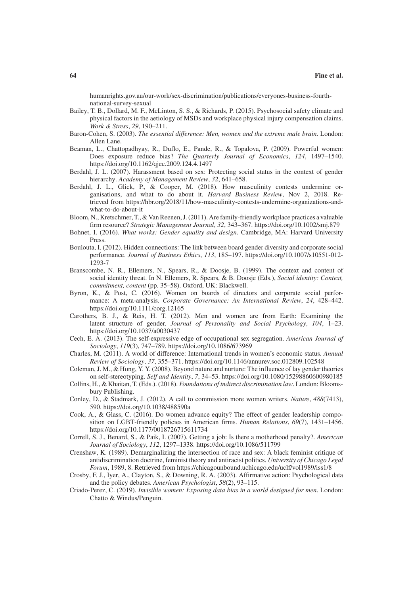humanrights.gov.au/our-work/sex-discrimination/publications/everyones-business-fourthnational-survey-sexual

- Bailey, T. B., Dollard, M. F., McLinton, S. S., & Richards, P. (2015). Psychosocial safety climate and physical factors in the aetiology of MSDs and workplace physical injury compensation claims. *Work & Stress*, *29*, 190–211.
- Baron-Cohen, S. (2003). *The essential difference: Men, women and the extreme male brain*. London: Allen Lane.
- Beaman, L., Chattopadhyay, R., Duflo, E., Pande, R., & Topalova, P. (2009). Powerful women: Does exposure reduce bias? *The Quarterly Journal of Economics*, *124*, 1497–1540. https://doi.org/10.1162/qjec.2009.124.4.1497
- Berdahl, J. L. (2007). Harassment based on sex: Protecting social status in the context of gender hierarchy. *Academy of Management Review*, *32*, 641–658.
- Berdahl, J. L., Glick, P., & Cooper, M. (2018). How masculinity contests undermine organisations, and what to do about it. *Harvard Business Review*, Nov 2, 2018. Retrieved from https://hbr.org/2018/11/how-masculinity-contests-undermine-organizations-andwhat-to-do-about-it
- Bloom, N., Kretschmer, T., & Van Reenen, J. (2011). Are family-friendly workplace practices a valuable firm resource? *Strategic Management Journal*, *32*, 343–367. https://doi.org/10.1002/smj.879
- Bohnet, I. (2016). *What works: Gender equality and design*. Cambridge, MA: Harvard University Press.
- Boulouta, I. (2012). Hidden connections: The link between board gender diversity and corporate social performance. *Journal of Business Ethics*, *113*, 185–197. https://doi.org/10.1007/s10551-012- 1293-7
- Branscombe, N. R., Ellemers, N., Spears, R., & Doosje, B. (1999). The context and content of social identity threat. In N. Ellemers, R. Spears, & B. Doosje (Eds.), *Social identity: Context, commitment, content* (pp. 35–58). Oxford, UK: Blackwell.
- Byron, K., & Post, C. (2016). Women on boards of directors and corporate social performance: A meta-analysis. *Corporate Governance: An International Review*, *24*, 428–442. https://doi.org/10.1111/corg.12165
- Carothers, B. J., & Reis, H. T. (2012). Men and women are from Earth: Examining the latent structure of gender. *Journal of Personality and Social Psychology*, *104*, 1–23. https://doi.org/10.1037/a0030437
- Cech, E. A. (2013). The self-expressive edge of occupational sex segregation. *American Journal of Sociology*, *119*(3), 747–789. https://doi.org/10.1086/673969
- Charles, M. (2011). A world of difference: International trends in women's economic status. *Annual Review of Sociology*, *37*, 355–371. https://doi.org/10.1146/annurev.soc.012809.102548
- Coleman, J. M., & Hong, Y. Y. (2008). Beyond nature and nurture: The influence of lay gender theories on self-stereotyping. *Self and Identity*, *7*, 34–53. https://doi.org/10.1080/15298860600980185
- Collins, H., & Khaitan, T. (Eds.). (2018). *Foundations of indirect discrimination law*. London: Bloomsbury Publishing.
- Conley, D., & Stadmark, J. (2012). A call to commission more women writers. *Nature*, *488*(7413), 590. https://doi.org/10.1038/488590a
- Cook, A., & Glass, C. (2016). Do women advance equity? The effect of gender leadership composition on LGBT-friendly policies in American firms. *Human Relations*, *69*(7), 1431–1456. https://doi.org/10.1177/0018726715611734
- Correll, S. J., Benard, S., & Paik, I. (2007). Getting a job: Is there a motherhood penalty?. *American Journal of Sociology*, *112*, 1297–1338. https://doi.org/10.1086/511799
- Crenshaw, K. (1989). Demarginalizing the intersection of race and sex: A black feminist critique of antidiscrimination doctrine, feminist theory and antiracist politics. *University of Chicago Legal Forum*, 1989, 8. Retrieved from https://chicagounbound.uchicago.edu/uclf/vol1989/iss1/8
- Crosby, F. J., Iyer, A., Clayton, S., & Downing, R. A. (2003). Affirmative action: Psychological data and the policy debates. *American Psychologist*, *58*(2), 93–115.
- Criado-Perez, C. (2019). *Invisible women: Exposing data bias in a world designed for men*. London: Chatto & Windus/Penguin.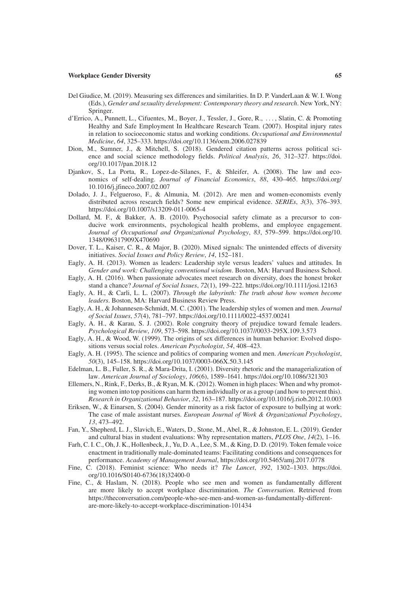- Del Giudice, M. (2019). Measuring sex differences and similarities. In D. P. VanderLaan & W. I. Wong (Eds.), *Gender and sexuality development: Contemporary theory and research*. New York, NY: Springer.
- d'Errico, A., Punnett, L., Cifuentes, M., Boyer, J., Tessler, J., Gore, R., . . . , Slatin, C. & Promoting Healthy and Safe Employment In Healthcare Research Team. (2007). Hospital injury rates in relation to socioeconomic status and working conditions. *Occupational and Environmental Medicine*, *64*, 325–333. https://doi.org/10.1136/oem.2006.027839
- Dion, M., Sumner, J., & Mitchell, S. (2018). Gendered citation patterns across political science and social science methodology fields. *Political Analysis*, *26*, 312–327. https://doi. org/10.1017/pan.2018.12
- Djankov, S., La Porta, R., Lopez-de-Silanes, F., & Shleifer, A. (2008). The law and economics of self-dealing. *Journal of Financial Economics*, *88*, 430–465. https://doi.org/ 10.1016/j.jfineco.2007.02.007
- Dolado, J. J., Felgueroso, F., & Almunia, M. (2012). Are men and women-economists evenly distributed across research fields? Some new empirical evidence. *SERIEs*, *3*(3), 376–393. https://doi.org/10.1007/s13209-011-0065-4
- Dollard, M. F., & Bakker, A. B. (2010). Psychosocial safety climate as a precursor to conducive work environments, psychological health problems, and employee engagement. *Journal of Occupational and Organizational Psychology*, *83*, 579–599. https://doi.org/10. 1348/096317909X470690
- Dover, T. L., Kaiser, C. R., & Major, B. (2020). Mixed signals: The unintended effects of diversity initiatives. *Social Issues and Policy Review*, *14*, 152–181.
- Eagly, A. H. (2013). Women as leaders: Leadership style versus leaders' values and attitudes. In *Gender and work: Challenging conventional wisdom*. Boston, MA: Harvard Business School.
- Eagly, A. H. (2016). When passionate advocates meet research on diversity, does the honest broker stand a chance? *Journal of Social Issues*, *72*(1), 199–222. https://doi.org/10.1111/josi.12163
- Eagly, A. H., & Carli, L. L. (2007). *Through the labyrinth: The truth about how women become leaders*. Boston, MA: Harvard Business Review Press.
- Eagly, A. H., & Johannesen-Schmidt, M. C. (2001). The leadership styles of women and men. *Journal of Social Issues*, *57*(4), 781–797. https://doi.org/10.1111/0022-4537.00241
- Eagly, A. H., & Karau, S. J. (2002). Role congruity theory of prejudice toward female leaders. *Psychological Review*, *109*, 573–598. https://doi.org/10.1037//0033-295X.109.3.573
- Eagly, A. H., & Wood, W. (1999). The origins of sex differences in human behavior: Evolved dispositions versus social roles. *American Psychologist*, *54*, 408–423.
- Eagly, A. H. (1995). The science and politics of comparing women and men. *American Psychologist*, *50*(3), 145–158. https://doi.org/10.1037/0003-066X.50.3.145
- Edelman, L. B., Fuller, S. R., & Mara-Drita, I. (2001). Diversity rhetoric and the managerialization of law. *American Journal of Sociology*, *106*(6), 1589–1641. https://doi.org/10.1086/321303
- Ellemers, N., Rink, F., Derks, B., & Ryan, M. K. (2012). Women in high places: When and why promoting women into top positions can harm them individually or as a group (and how to prevent this). *Research in Organizational Behavior*, *32*, 163–187. https://doi.org/10.1016/j.riob.2012.10.003
- Eriksen, W., & Einarsen, S. (2004). Gender minority as a risk factor of exposure to bullying at work: The case of male assistant nurses. *European Journal of Work & Organizational Psychology*, *13*, 473–492.
- Fan, Y., Shepherd, L. J., Slavich, E., Waters, D., Stone, M., Abel, R., & Johnston, E. L. (2019). Gender and cultural bias in student evaluations: Why representation matters, *PLOS One*, *14*(2), 1–16.
- Farh, C. I. C., Oh, J. K., Hollenbeck, J., Yu, D. A., Lee, S. M., & King, D. D. (2019). Token female voice enactment in traditionally male-dominated teams: Facilitating conditions and consequences for performance. *Academy of Management Journal*, https://doi.org/10.5465/amj.2017.0778
- Fine, C. (2018). Feminist science: Who needs it? *The Lancet*, *392*, 1302–1303. https://doi. org/10.1016/S0140-6736(18)32400-0
- Fine, C., & Haslam, N. (2018). People who see men and women as fundamentally different are more likely to accept workplace discrimination. *The Conversation*. Retrieved from https://theconversation.com/people-who-see-men-and-women-as-fundamentally-differentare-more-likely-to-accept-workplace-discrimination-101434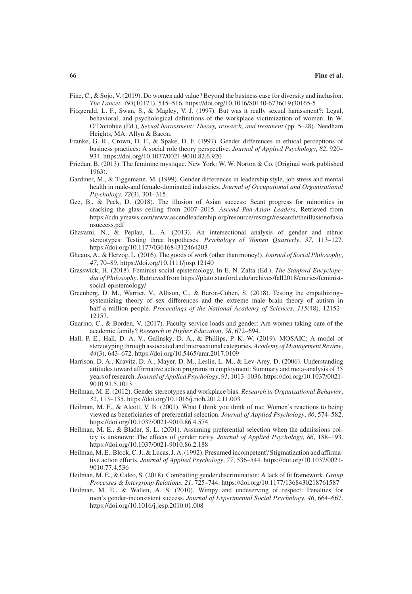- Fine, C., & Sojo, V. (2019). Do women add value? Beyond the business case for diversity and inclusion. *The Lancet*, *393*(10171), 515–516. https://doi.org/10.1016/S0140-6736(19)30165-5
- Fitzgerald, L. F., Swan, S., & Magley, V. J. (1997). But was it really sexual harassment?: Legal, behavioral, and psychological definitions of the workplace victimization of women. In W. O'Donohue (Ed.), *Sexual harassment: Theory, research, and treatment* (pp. 5–28). Needham Heights, MA: Allyn & Bacon.
- Franke, G. R., Crown, D. F., & Spake, D. F. (1997). Gender differences in ethical perceptions of business practices: A social role theory perspective. *Journal of Applied Psychology*, *82*, 920– 934. https://doi.org/10.1037/0021-9010.82.6.920
- Friedan, B. (2013). The feminine mystique. New York: W. W. Norton & Co. (Original work published 1963).
- Gardiner, M., & Tiggemann, M. (1999). Gender differences in leadership style, job stress and mental health in male-and female-dominated industries. *Journal of Occupational and Organizational Psychology*, *72*(3), 301–315.
- Gee, B., & Peck, D. (2018). The illusion of Asian success: Scant progress for minorities in cracking the glass ceiling from 2007–2015. *Ascend Pan-Asian Leaders*, Retrieved from https://cdn.ymaws.com/www.ascendleadership.org/resource/resmgr/research/theillusionofasia nsuccess.pdf
- Ghavami, N., & Peplau, L. A. (2013). An intersectional analysis of gender and ethnic stereotypes: Testing three hypotheses. *Psychology of Women Quarterly*, *37*, 113–127. https://doi.org/10.1177/0361684312464203
- Gheaus, A., & Herzog, L. (2016). The goods of work (other than money!). *Journal of Social Philosophy*, *47*, 70–89. https://doi.org/10.1111/josp.12140
- Grasswick, H. (2018). Feminist social epistemology. In E. N. Zalta (Ed.), *The Stanford Encyclopedia of Philosophy*. Retrieved from https://plato.stanford.edu/archives/fall2018/entries/feministsocial-epistemology/
- Greenberg, D. M., Warrier, V., Allison, C., & Baron-Cohen, S. (2018). Testing the empathizing– systemizing theory of sex differences and the extreme male brain theory of autism in half a million people. *Proceedings of the National Academy of Sciences*, *115*(48), 12152– 12157.
- Guarino, C., & Borden, V. (2017). Faculty service loads and gender: Are women taking care of the academic family? *Research in Higher Education*, *58*, 672–694.
- Hall, P. E., Hall, D. A. V., Galinsky, D. A., & Phillips, P. K. W. (2019). MOSAIC: A model of stereotyping through associated and intersectional categories. *Academy of Management Review*, *44*(3), 643–672. https://doi.org/10.5465/amr.2017.0109
- Harrison, D. A., Kravitz, D. A., Mayer, D. M., Leslie, L. M., & Lev-Arey, D. (2006). Understanding attitudes toward affirmative action programs in employment: Summary and meta-analysis of 35 years of research. *Journal of Applied Psychology*, *91*, 1013–1036. https://doi.org/10.1037/0021- 9010.91.5.1013
- Heilman, M. E. (2012). Gender stereotypes and workplace bias. *Research in Organizational Behavior*, *32*, 113–135. https://doi.org/10.1016/j.riob.2012.11.003
- Heilman, M. E., & Alcott, V. B. (2001). What I think you think of me: Women's reactions to being viewed as beneficiaries of preferential selection. *Journal of Applied Psychology*, *86*, 574–582. https://doi.org/10.1037/0021-9010.86.4.574
- Heilman, M. E., & Blader, S. L. (2001). Assuming preferential selection when the admissions policy is unknown: The effects of gender rarity. *Journal of Applied Psychology*, *86*, 188–193. https://doi.org/10.1037/0021-9010.86.2.188
- Heilman, M. E., Block, C. J., & Lucas, J. A. (1992). Presumed incompetent? Stigmatization and affirmative action efforts. *Journal of Applied Psychology*, *77*, 536–544. https://doi.org/10.1037/0021- 9010.77.4.536
- Heilman, M. E., & Caleo, S. (2018). Combatting gender discrimination: A lack of fit framework. *Group Processes & Intergroup Relations*, *21*, 725–744. https://doi.org/10.1177/1368430218761587
- Heilman, M. E., & Wallen, A. S. (2010). Wimpy and undeserving of respect: Penalties for men's gender-inconsistent success. *Journal of Experimental Social Psychology*, *46*, 664–667. https://doi.org/10.1016/j.jesp.2010.01.008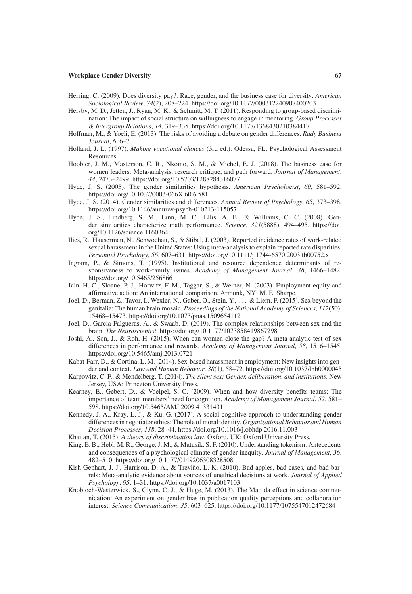- Herring, C. (2009). Does diversity pay?: Race, gender, and the business case for diversity. *American Sociological Review*, *74*(2), 208–224. https://doi.org/10.1177/000312240907400203
- Hersby, M. D., Jetten, J., Ryan, M. K., & Schmitt, M. T. (2011). Responding to group-based discrimination: The impact of social structure on willingness to engage in mentoring. *Group Processes & Intergroup Relations*, *14*, 319–335. https://doi.org/10.1177/1368430210384417
- Hoffman, M., & Yoeli, E. (2013). The risks of avoiding a debate on gender differences. *Rady Business Journal*, *6*, 6–7.
- Holland, J. L. (1997). *Making vocational choices* (3rd ed.). Odessa, FL: Psychological Assessment Resources.
- Hoobler, J. M., Masterson, C. R., Nkomo, S. M., & Michel, E. J. (2018). The business case for women leaders: Meta-analysis, research critique, and path forward. *Journal of Management*, *44*, 2473–2499. https://doi.org/10.5703/1288284316077
- Hyde, J. S. (2005). The gender similarities hypothesis. *American Psychologist*, *60*, 581–592. https://doi.org/10.1037/0003-066X.60.6.581
- Hyde, J. S. (2014). Gender similarities and differences. *Annual Review of Psychology*, *65*, 373–398, https://doi.org/10.1146/annurev-psych-010213-115057
- Hyde, J. S., Lindberg, S. M., Linn, M. C., Ellis, A. B., & Williams, C. C. (2008). Gender similarities characterize math performance. *Science*, *321*(5888), 494–495. https://doi. org/10.1126/science.1160364
- Ilies, R., Hauserman, N., Schwochau, S., & Stibal, J. (2003). Reported incidence rates of work-related sexual harassment in the United States: Using meta-analysis to explain reported rate disparities. *Personnel Psychology*, *56*, 607–631. https://doi.org/10.1111/j.1744-6570.2003.tb00752.x
- Ingram, P., & Simons, T. (1995). Institutional and resource dependence determinants of responsiveness to work-family issues. *Academy of Management Journal*, *38*, 1466–1482. https://doi.org/10.5465/256866
- Jain, H. C., Sloane, P. J., Horwitz, F. M., Taggar, S., & Weiner, N. (2003). Employment equity and affirmative action: An international comparison. Armonk, NY: M. E. Sharpe.
- Joel, D., Berman, Z., Tavor, I., Wexler, N., Gaber, O., Stein, Y., . . . & Liem, F. (2015). Sex beyond the genitalia: The human brain mosaic. *Proceedings of the National Academy of Sciences*, *112*(50), 15468–15473. https://doi.org/10.1073/pnas.1509654112
- Joel, D., Garcia-Falgueras, A., & Swaab, D. (2019). The complex relationships between sex and the brain. *The Neuroscientist*, https://doi.org/10.1177/1073858419867298
- Joshi, A., Son, J., & Roh, H. (2015). When can women close the gap? A meta-analytic test of sex differences in performance and rewards. *Academy of Management Journal*, *58*, 1516–1545. https://doi.org/10.5465/amj.2013.0721
- Kabat-Farr, D., & Cortina, L. M. (2014). Sex-based harassment in employment: New insights into gender and context. *Law and Human Behavior*, *38*(1), 58–72. https://doi.org/10.1037/lhb0000045
- Karpowitz, C. F., & Mendelberg, T. (2014). *The silent sex: Gender, deliberation, and institutions*. New Jersey, USA: Princeton University Press.
- Kearney, E., Gebert, D., & Voelpel, S. C. (2009). When and how diversity benefits teams: The importance of team members' need for cognition. *Academy of Management Journal*, *52*, 581– 598. https://doi.org/10.5465/AMJ.2009.41331431
- Kennedy, J. A., Kray, L. J., & Ku, G. (2017). A social-cognitive approach to understanding gender differences in negotiator ethics: The role of moral identity. *Organizational Behavior and Human Decision Processes*, *138*, 28–44. https://doi.org/10.1016/j.obhdp.2016.11.003
- Khaitan, T. (2015). *A theory of discrimination law*. Oxford, UK: Oxford University Press.
- King, E. B., Hebl, M. R., George, J. M., & Matusik, S. F. (2010). Understanding tokenism: Antecedents and consequences of a psychological climate of gender inequity. *Journal of Management*, *36*, 482–510. https://doi.org/10.1177/0149206308328508
- Kish-Gephart, J. J., Harrison, D. A., & Treviño, L. K. (2010). Bad apples, bad cases, and bad barrels: Meta-analytic evidence about sources of unethical decisions at work. *Journal of Applied Psychology*, *95*, 1–31. https://doi.org/10.1037/a0017103
- Knobloch-Westerwick, S., Glynn, C. J., & Huge, M. (2013). The Matilda effect in science communication: An experiment on gender bias in publication quality perceptions and collaboration interest. *Science Communication*, *35*, 603–625. https://doi.org/10.1177/1075547012472684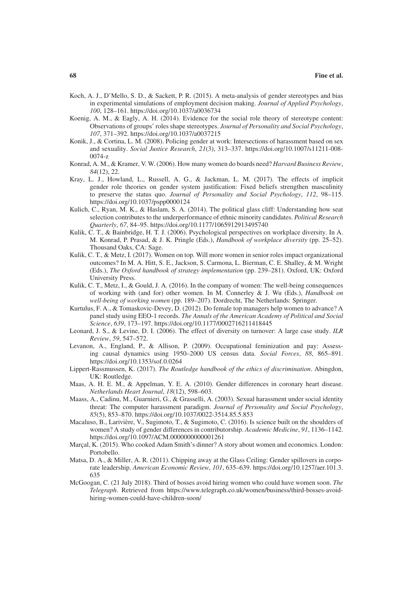- Koch, A. J., D'Mello, S. D., & Sackett, P. R. (2015). A meta-analysis of gender stereotypes and bias in experimental simulations of employment decision making. *Journal of Applied Psychology*, *100*, 128–161. https://doi.org/10.1037/a0036734
- Koenig, A. M., & Eagly, A. H. (2014). Evidence for the social role theory of stereotype content: Observations of groups' roles shape stereotypes. *Journal of Personality and Social Psychology*, *107*, 371–392. https://doi.org/10.1037/a0037215
- Konik, J., & Cortina, L. M. (2008). Policing gender at work: Intersections of harassment based on sex and sexuality. *Social Justice Research*, *21*(3), 313–337. https://doi.org/10.1007/s11211-008- 0074-z
- Konrad, A. M., & Kramer, V. W. (2006). How many women do boards need? *Harvard Business Review*, *84*(12), 22.
- Kray, L. J., Howland, L., Russell, A. G., & Jackman, L. M. (2017). The effects of implicit gender role theories on gender system justification: Fixed beliefs strengthen masculinity to preserve the status quo. *Journal of Personality and Social Psychology*, *112*, 98–115. https://doi.org/10.1037/pspp0000124
- Kulich, C., Ryan, M. K., & Haslam, S. A. (2014). The political glass cliff: Understanding how seat selection contributes to the underperformance of ethnic minority candidates. *Political Research Quarterly*, *67*, 84–95. https://doi.org/10.1177/1065912913495740
- Kulik, C. T., & Bainbridge, H. T. J. (2006). Psychological perspectives on workplace diversity. In A. M. Konrad, P. Prasad, & J. K. Pringle (Eds.), *Handbook of workplace diversity* (pp. 25–52). Thousand Oaks, CA: Sage.
- Kulik, C. T., & Metz, I. (2017). Women on top. Will more women in senior roles impact organizational outcomes? In M. A. Hitt, S. E., Jackson, S. Carmona, L. Bierman, C. E. Shalley, & M. Wright (Eds.), *The Oxford handbook of strategy implementation* (pp. 239–281). Oxford, UK: Oxford University Press.
- Kulik, C. T., Metz, I., & Gould, J. A. (2016). In the company of women: The well-being consequences of working with (and for) other women. In M. Connerley & J. Wu (Eds.), *Handbook on well-being of working women* (pp. 189–207). Dordrecht, The Netherlands: Springer.
- Kurtulus, F. A., & Tomaskovic-Devey, D. (2012). Do female top managers help women to advance? A panel study using EEO-1 records. *The Annals of the American Academy of Political and Social Science*, *639*, 173–197. https://doi.org/10.1177/0002716211418445
- Leonard, J. S., & Levine, D. I. (2006). The effect of diversity on turnover: A large case study. *ILR Review*, *59*, 547–572.
- Levanon, A., England, P., & Allison, P. (2009). Occupational feminization and pay: Assessing causal dynamics using 1950–2000 US census data. *Social Forces*, *88*, 865–891. https://doi.org/10.1353/sof.0.0264
- Lippert-Rassmussen, K. (2017). *The Routledge handbook of the ethics of discrimination*. Abingdon, UK: Routledge.
- Maas, A. H. E. M., & Appelman, Y. E. A. (2010). Gender differences in coronary heart disease. *Netherlands Heart Journal*, *18*(12), 598–603.
- Maass, A., Cadinu, M., Guarnieri, G., & Grasselli, A. (2003). Sexual harassment under social identity threat: The computer harassment paradigm. *Journal of Personality and Social Psychology*, *85*(5), 853–870. https://doi.org/10.1037/0022-3514.85.5.853
- Macaluso, B., Larivière, V., Sugimoto, T., & Sugimoto, C. (2016). Is science built on the shoulders of women? A study of gender differences in contributorship. *Academic Medicine*, *91*, 1136–1142. https://doi.org/10.1097/ACM.0000000000001261
- Marçal, K. (2015). Who cooked Adam Smith's dinner? A story about women and economics. London: Portobello.
- Matsa, D. A., & Miller, A. R. (2011). Chipping away at the Glass Ceiling: Gender spillovers in corporate leadership. *American Economic Review*, *101*, 635–639. https://doi.org/10.1257/aer.101.3. 635
- McGoogan, C. (21 July 2018). Third of bosses avoid hiring women who could have women soon. *The Telegraph*. Retrieved from https://www.telegraph.co.uk/women/business/third-bosses-avoidhiring-women-could-have-children-soon/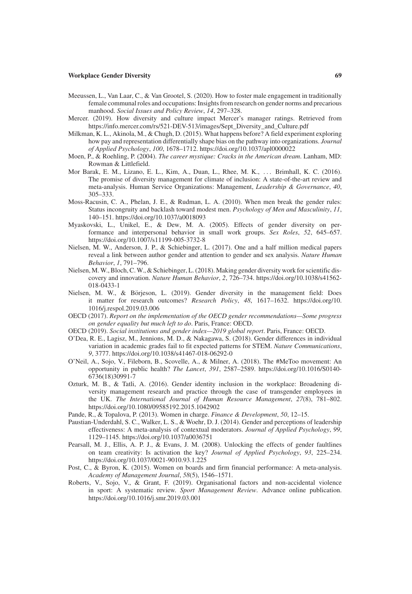- Meeussen, L., Van Laar, C., & Van Grootel, S. (2020). How to foster male engagement in traditionally female communal roles and occupations: Insights from research on gender norms and precarious manhood. *Social Issues and Policy Review*, *14*, 297–328.
- Mercer. (2019). How diversity and culture impact Mercer's manager ratings. Retrieved from https://info.mercer.com/rs/521-DEV-513/images/Sept\_Diversity\_and\_Culture.pdf
- Milkman, K. L., Akinola, M., & Chugh, D. (2015). What happens before? A field experiment exploring how pay and representation differentially shape bias on the pathway into organizations. *Journal of Applied Psychology*, *100*, 1678–1712. https://doi.org/10.1037/apl0000022
- Moen, P., & Roehling, P. (2004). *The career mystique: Cracks in the American dream*. Lanham, MD: Rowman & Littlefield.
- Mor Barak, E. M., Lizano, E. L., Kim, A., Duan, L., Rhee, M. K., . . . Brimhall, K. C. (2016). The promise of diversity management for climate of inclusion: A state-of-the-art review and meta-analysis. Human Service Organizations: Management, *Leadership & Governance*, *40*, 305–333.
- Moss-Racusin, C. A., Phelan, J. E., & Rudman, L. A. (2010). When men break the gender rules: Status incongruity and backlash toward modest men. *Psychology of Men and Masculinity*, *11*, 140–151. https://doi.org/10.1037/a0018093
- Myaskovski, L., Unikel, E., & Dew, M. A. (2005). Effects of gender diversity on performance and interpersonal behavior in small work groups. *Sex Roles*, *52*, 645–657. https://doi.org/10.1007/s11199-005-3732-8
- Nielsen, M. W., Anderson, J. P., & Schiebinger, L. (2017). One and a half million medical papers reveal a link between author gender and attention to gender and sex analysis. *Nature Human Behavior*, *1*, 791–796.
- Nielsen, M. W., Bloch, C. W., & Schiebinger, L. (2018). Making gender diversity work for scientific discovery and innovation. *Nature Human Behavior*, *2*, 726–734. https://doi.org/10.1038/s41562- 018-0433-1
- Nielsen, M. W., & Börjeson, L. (2019). Gender diversity in the management field: Does it matter for research outcomes? *Research Policy*, *48*, 1617–1632. https://doi.org/10. 1016/j.respol.2019.03.006
- OECD (2017). *Report on the implementation of the OECD gender recommendations—Some progress on gender equality but much left to do*. Paris, France: OECD.
- OECD (2019). *Social institutions and gender index—2019 global report*. Paris, France: OECD.
- O'Dea, R. E., Lagisz, M., Jennions, M. D., & Nakagawa, S. (2018). Gender differences in individual variation in academic grades fail to fit expected patterns for STEM. *Nature Communications*, *9*, 3777. https://doi.org/10.1038/s41467-018-06292-0
- O'Neil, A., Sojo, V., Fileborn, B., Scovelle, A., & Milner, A. (2018). The #MeToo movement: An opportunity in public health? *The Lancet*, *391*, 2587–2589. https://doi.org/10.1016/S0140- 6736(18)30991-7
- Ozturk, M. B., & Tatli, A. (2016). Gender identity inclusion in the workplace: Broadening diversity management research and practice through the case of transgender employees in the UK. *The International Journal of Human Resource Management*, *27*(8), 781–802. https://doi.org/10.1080/09585192.2015.1042902
- Pande, R., & Topalova, P. (2013). Women in charge. *Finance & Development*, *50*, 12–15.
- Paustian-Underdahl, S. C., Walker, L. S., & Woehr, D. J. (2014). Gender and perceptions of leadership effectiveness: A meta-analysis of contextual moderators. *Journal of Applied Psychology*, *99*, 1129–1145. https://doi.org/10.1037/a0036751
- Pearsall, M. J., Ellis, A. P. J., & Evans, J. M. (2008). Unlocking the effects of gender faultlines on team creativity: Is activation the key? *Journal of Applied Psychology*, *93*, 225–234. https://doi.org/10.1037/0021-9010.93.1.225
- Post, C., & Byron, K. (2015). Women on boards and firm financial performance: A meta-analysis. *Academy of Management Journal*, *58*(5), 1546–1571.
- Roberts, V., Sojo, V., & Grant, F. (2019). Organisational factors and non-accidental violence in sport: A systematic review. *Sport Management Review*. Advance online publication. https://doi.org/10.1016/j.smr.2019.03.001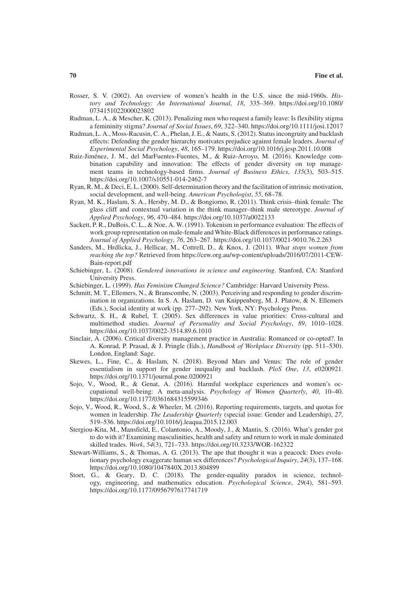- Rosser, S. V. (2002). An overview of women's health in the U.S. since the mid-1960s. *History and Technology: An International Journal*, *18*, 335–369. https://doi.org/10.1080/ 0734151022000023802
- Rudman, L. A., & Mescher, K. (2013). Penalizing men who request a family leave: Is flexibility stigma a femininity stigma? *Journal of Social Issues*, *69*, 322–340. https://doi.org/10.1111/josi.12017
- Rudman, L. A., Moss-Racusin, C. A., Phelan, J. E., & Nauts, S. (2012). Status incongruity and backlash effects: Defending the gender hierarchy motivates prejudice against female leaders. *Journal of Experimental Social Psychology*, *48*, 165–179. https://doi.org/10.1016/j.jesp.2011.10.008
- Ruiz-Jiménez, J. M., del MarFuentes-Fuentes, M., & Ruiz-Arroyo, M. (2016). Knowledge combination capability and innovation: The effects of gender diversity on top management teams in technology-based firms. *Journal of Business Ethics*, *135*(3), 503–515. https://doi.org/10.1007/s10551-014-2462-7
- Ryan, R. M., & Deci, E. L. (2000). Self-determination theory and the facilitation of intrinsic motivation, social development, and well-being. *American Psychologist*, *55*, 68–78.
- Ryan, M. K., Haslam, S. A., Hersby, M. D., & Bongiorno, R. (2011). Think crisis–think female: The glass cliff and contextual variation in the think manager–think male stereotype. *Journal of Applied Psychology*, *96*, 470–484. https://doi.org/10.1037/a0022133
- Sackett, P. R., DuBois, C. L., & Noe, A. W. (1991). Tokenism in performance evaluation: The effects of work group representation on male-female and White-Black differences in performance ratings. *Journal of Applied Psychology*, *76*, 263–267. https://doi.org/10.1037/0021-9010.76.2.263
- Sanders, M., Hrdlicka, J., Hellicar, M., Cottrell, D., & Knox, J. (2011). *What stops women from reaching the top?* Retrieved from https://cew.org.au/wp-content/uploads/2016/07/2011-CEW-Bain-report.pdf
- Schiebinger, L. (2008). *Gendered innovations in science and engineering*. Stanford, CA: Stanford University Press.
- Schiebinger, L. (1999). *Has Feminism Changed Science?* Cambridge: Harvard University Press.
- Schmitt, M. T., Ellemers, N., & Branscombe, N. (2003). Perceiving and responding to gender discrimination in organizations. In S. A. Haslam, D. van Knippenberg, M. J. Platow, & N. Ellemers (Eds.), Social identity at work (pp. 277–292). New York, NY: Psychology Press.
- Schwartz, S. H., & Rubel, T. (2005). Sex differences in value priorities: Cross-cultural and multimethod studies. *Journal of Personality and Social Psychology*, *89*, 1010–1028. https://doi.org/10.1037/0022-3514.89.6.1010
- Sinclair, A. (2006). Critical diversity management practice in Australia: Romanced or co-opted?. In A. Konrad, P. Prasad, & J. Pringle (Eds.), *Handbook of Workplace Diversity* (pp. 511–530). London, England: Sage.
- Skewes, L., Fine, C., & Haslam, N. (2018). Beyond Mars and Venus: The role of gender essentialism in support for gender inequality and backlash. *PloS One*, *13*, e0200921. https://doi.org/10.1371/journal.pone.0200921
- Sojo, V., Wood, R., & Genat, A. (2016). Harmful workplace experiences and women's occupational well-being: A meta-analysis. *Psychology of Women Quarterly*, *40*, 10–40. https://doi.org/10.1177/0361684315599346
- Sojo, V., Wood, R., Wood, S., & Wheeler, M. (2016). Reporting requirements, targets, and quotas for women in leadership. *The Leadership Quarterly* (special issue: Gender and Leadership), *27*, 519–536. https://doi.org/10.1016/j.leaqua.2015.12.003
- Stergiou-Kita, M., Mansfield, E., Colantonio, A., Moody, J., & Mantis, S. (2016). What's gender got to do with it? Examining masculinities, health and safety and return to work in male dominated skilled trades. *Work*, *54*(3), 721–733. https://doi.org/10.3233/WOR-162322
- Stewart-Williams, S., & Thomas, A. G. (2013). The ape that thought it was a peacock: Does evolutionary psychology exaggerate human sex differences? *Psychological Inquiry*, *24*(3), 137–168. https://doi.org/10.1080/1047840X.2013.804899
- Stoet, G., & Geary, D. C. (2018). The gender-equality paradox in science, technology, engineering, and mathematics education. *Psychological Science*, *29*(4), 581–593. https://doi.org/10.1177/0956797617741719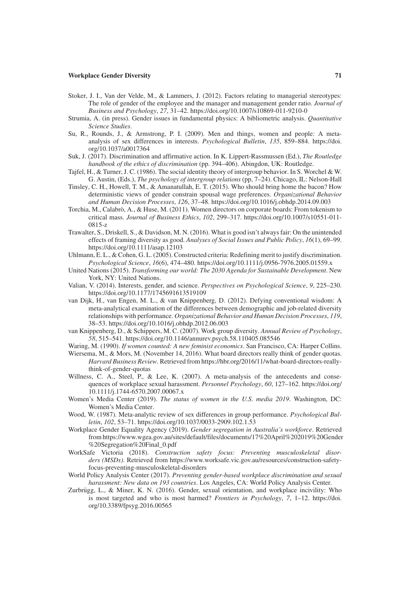- Stoker, J. I., Van der Velde, M., & Lammers, J. (2012). Factors relating to managerial stereotypes: The role of gender of the employee and the manager and management gender ratio. *Journal of Business and Psychology*, *27*, 31–42. https://doi.org/10.1007/s10869-011-9210-0
- Strumia, A. (in press). Gender issues in fundamental physics: A bibliometric analysis. *Quantitative Science Studies*.
- Su, R., Rounds, J., & Armstrong, P. I. (2009). Men and things, women and people: A metaanalysis of sex differences in interests. *Psychological Bulletin*, *135*, 859–884. https://doi. org/10.1037/a0017364
- Suk, J. (2017). Discrimination and affirmative action. In K. Lippert-Rassmussen (Ed.), *The Routledge handbook of the ethics of discrimination* (pp. 394–406). Abingdon, UK: Routledge.
- Tajfel, H., & Turner, J. C. (1986). The social identity theory of intergroup behavior. In S. Worchel & W. G. Austin, (Eds.), *The psychology of intergroup relations* (pp, 7–24). Chicago, IL: Nelson-Hall
- Tinsley, C. H., Howell, T. M., & Amanatullah, E. T. (2015). Who should bring home the bacon? How deterministic views of gender constrain spousal wage preferences. *Organizational Behavior and Human Decision Processes*, *126*, 37–48. https://doi.org/10.1016/j.obhdp.2014.09.003
- Torchia, M., Calabrò, A., & Huse, M. (2011). Women directors on corporate boards: From tokenism to critical mass. *Journal of Business Ethics*, *102*, 299–317. https://doi.org/10.1007/s10551-011- 0815-z
- Trawalter, S., Driskell, S., & Davidson, M. N. (2016). What is good isn't always fair: On the unintended effects of framing diversity as good. *Analyses of Social Issues and Public Policy*, *16*(1), 69–99. https://doi.org/10.1111/asap.12103
- Uhlmann, E. L., & Cohen, G. L. (2005). Constructed criteria: Redefining merit to justify discrimination. *Psychological Science*, *16*(6), 474–480. https://doi.org/10.1111/j.0956-7976.2005.01559.x
- United Nations (2015). *Transforming our world: The 2030 Agenda for Sustainable Development*. New York, NY: United Nations.
- Valian, V. (2014). Interests, gender, and science. *Perspectives on Psychological Science*, *9*, 225–230. https://doi.org/10.1177/1745691613519109
- van Dijk, H., van Engen, M. L., & van Knippenberg, D. (2012). Defying conventional wisdom: A meta-analytical examination of the differences between demographic and job-related diversity relationships with performance. *Organizational Behavior and Human Decision Processes*, *119*, 38–53. https://doi.org/10.1016/j.obhdp.2012.06.003
- van Knippenberg, D., & Schippers, M. C. (2007). Work group diversity. *Annual Review of Psychology*, *58*, 515–541. https://doi.org/10.1146/annurev.psych.58.110405.085546
- Waring, M. (1990). *If women counted: A new feminist economics*. San Francisco, CA: Harper Collins.
- Wiersema, M., & Mors, M. (November 14, 2016). What board directors really think of gender quotas. *Harvard Business Review*. Retrieved from https://hbr.org/2016/11/what-board-directors-reallythink-of-gender-quotas
- Willness, C. A., Steel, P., & Lee, K. (2007). A meta-analysis of the antecedents and consequences of workplace sexual harassment. *Personnel Psychology*, *60*, 127–162. https://doi.org/ 10.1111/j.1744-6570.2007.00067.x
- Women's Media Center (2019). *The status of women in the U.S. media 2019*. Washington, DC: Women's Media Center.
- Wood, W. (1987). Meta-analytic review of sex differences in group performance. *Psychological Bulletin*, *102*, 53–71. https://doi.org/10.1037/0033-2909.102.1.53
- Workplace Gender Equality Agency (2019). *Gender segregation in Australia's workforce*. Retrieved from https://www.wgea.gov.au/sites/default/files/documents/17%20April%202019%20Gender %20Segregation%20Final\_0.pdf
- WorkSafe Victoria (2018). *Construction safety focus: Preventing musculoskeletal disorders (MSDs)*. Retrieved from https://www.worksafe.vic.gov.au/resources/construction-safetyfocus-preventing-musculoskeletal-disorders
- World Policy Analysis Center (2017). *Preventing gender-based workplace discrimination and sexual harassment: New data on 193 countries*. Los Angeles, CA: World Policy Analysis Center.
- Zurbrügg, L., & Miner, K. N. (2016). Gender, sexual orientation, and workplace incivility: Who is most targeted and who is most harmed? *Frontiers in Psychology*, *7*, 1–12. https://doi. org/10.3389/fpsyg.2016.00565